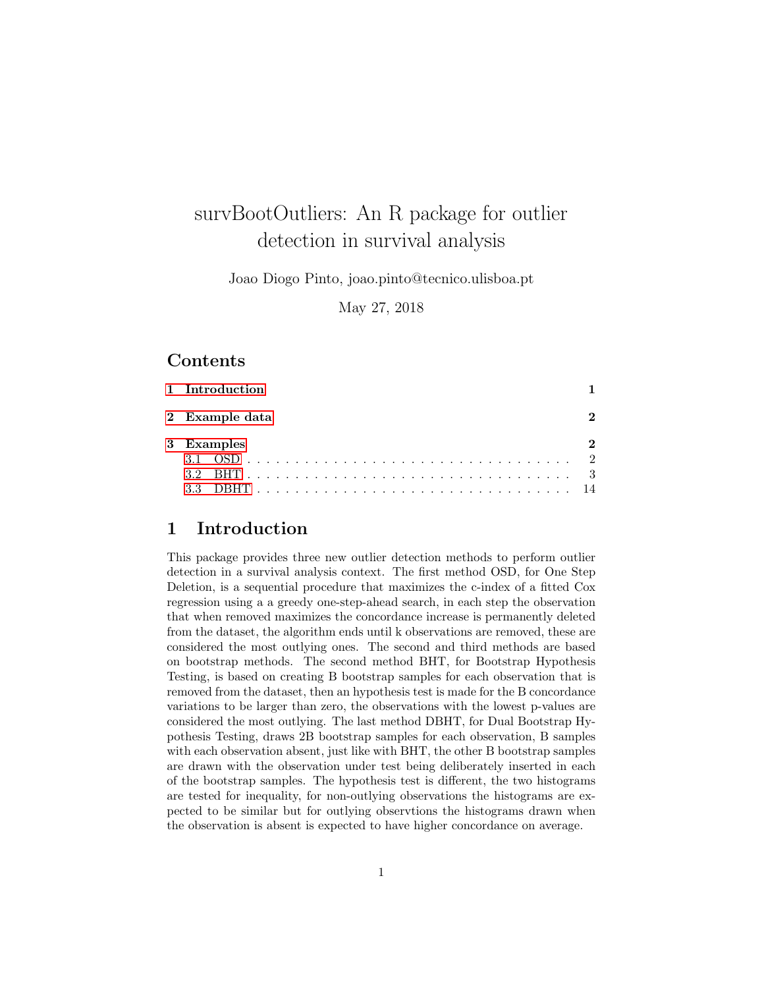# survBootOutliers: An R package for outlier detection in survival analysis

Joao Diogo Pinto, joao.pinto@tecnico.ulisboa.pt

May 27, 2018

# Contents

| 1 Introduction |  |
|----------------|--|
| 2 Example data |  |
| 3 Examples     |  |
|                |  |
| 3.2            |  |
|                |  |
|                |  |

# <span id="page-0-0"></span>1 Introduction

This package provides three new outlier detection methods to perform outlier detection in a survival analysis context. The first method OSD, for One Step Deletion, is a sequential procedure that maximizes the c-index of a fitted Cox regression using a a greedy one-step-ahead search, in each step the observation that when removed maximizes the concordance increase is permanently deleted from the dataset, the algorithm ends until k observations are removed, these are considered the most outlying ones. The second and third methods are based on bootstrap methods. The second method BHT, for Bootstrap Hypothesis Testing, is based on creating B bootstrap samples for each observation that is removed from the dataset, then an hypothesis test is made for the B concordance variations to be larger than zero, the observations with the lowest p-values are considered the most outlying. The last method DBHT, for Dual Bootstrap Hypothesis Testing, draws 2B bootstrap samples for each observation, B samples with each observation absent, just like with BHT, the other B bootstrap samples are drawn with the observation under test being deliberately inserted in each of the bootstrap samples. The hypothesis test is different, the two histograms are tested for inequality, for non-outlying observations the histograms are expected to be similar but for outlying observtions the histograms drawn when the observation is absent is expected to have higher concordance on average.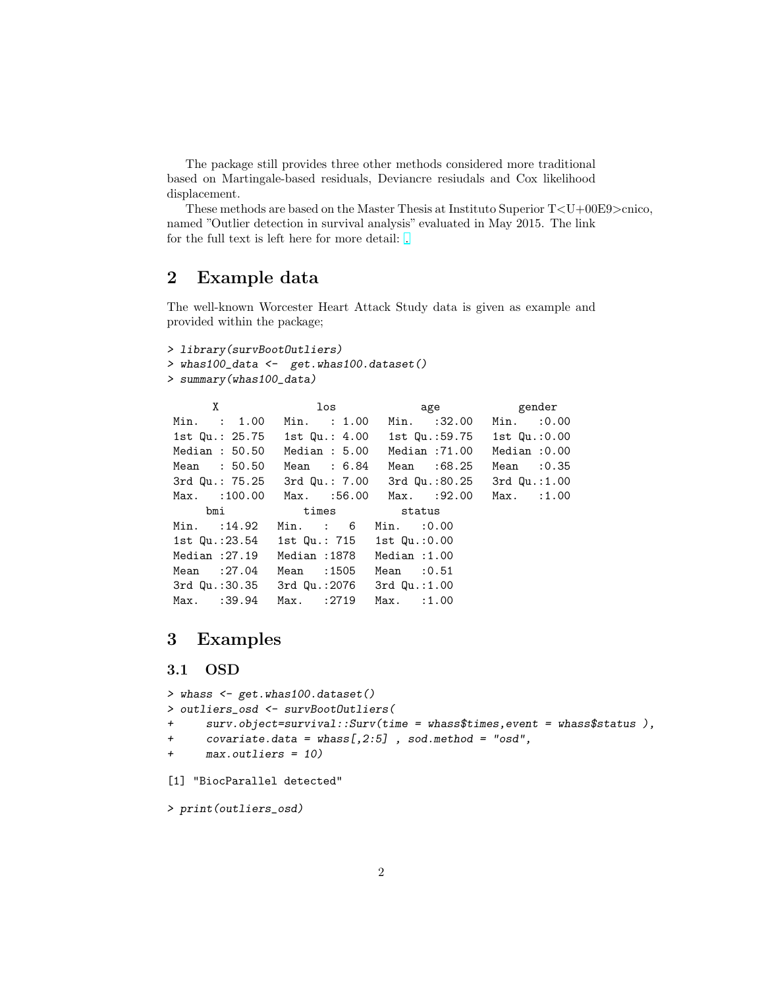The package still provides three other methods considered more traditional based on Martingale-based residuals, Deviancre resiudals and Cox likelihood displacement.

These methods are based on the Master Thesis at Instituto Superior T<U+00E9>cnico, named "Outlier detection in survival analysis" evaluated in May 2015. The link for the full text is left here for more detail: [.](https://fenix.tecnico.ulisboa.pt/downloadFile/844820067124612/dissertacao.pdf)

# <span id="page-1-0"></span>2 Example data

The well-known Worcester Heart Attack Study data is given as example and provided within the package;

```
> library(survBootOutliers)
> whas100_data <- get.whas100.dataset()
> summary(whas100_data)
```

| X                            | los                        |                   | age gender        |
|------------------------------|----------------------------|-------------------|-------------------|
| Min. : 1.00                  | Min. : 1.00                | $Min.$ :32.00     | $Min.$ : 0.00     |
| 1st Qu.: 25.75 1st Qu.: 4.00 |                            | 1st Qu.:59.75     | 1st $Qu. : 0.00$  |
| Median : 50.50               | Median : 5.00              | Median :71.00     | Median:0.00       |
| Mean : 50.50                 | Mean : 6.84                | Mean : 68.25      | Mean $:0.35$      |
| 3rd Qu.: 75.25               | 3rd Qu.: 7.00              | 3rd Qu.:80.25     | $3rd$ Qu.: $1.00$ |
| $Max.$ : 100.00              | Max. :56.00                | Max. : 92.00      | Max. : 1.00       |
| bmi                          | times status               |                   |                   |
| $Min.$ : 14.92               | $Min.$ : $6$               | Min. : 0.00       |                   |
| 1st Qu.:23.54                | 1st Qu.: 715 1st Qu.: 0.00 |                   |                   |
| Median :27.19                | Median:1878                | Median : 1.00     |                   |
| Mean : 27.04                 | Mean :1505                 | Mean $:0.51$      |                   |
| 3rd Qu.:30.35                | 3rd Qu.:2076               | $3rd$ Qu.: $1.00$ |                   |
| Max. : 39.94                 | Max. : 2719                | Max. : 1.00       |                   |

# <span id="page-1-1"></span>3 Examples

# <span id="page-1-2"></span>3.1 OSD

```
> whass <- get.whas100.dataset()
> outliers_osd <- survBootOutliers(
+ surv.object=survival::Surv(time = whass$times,event = whass$status ),
+ covariate.data = \text{whass}[0, 2:5], sod.method = "osd",+ max.outliers = 10)
[1] "BiocParallel detected"
```
> print(outliers\_osd)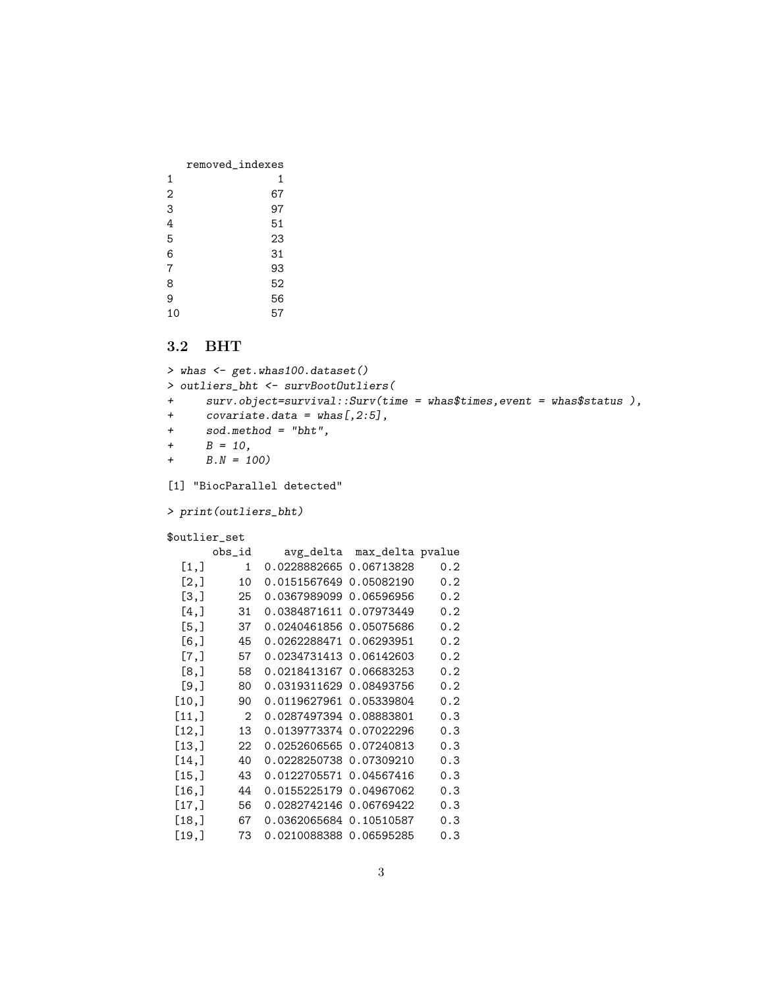|    | removed_indexes |
|----|-----------------|
| 1  | 1               |
| 2  | 67              |
| 3  | 97              |
| 4  | 51              |
| 5  | 23              |
| 6  | 31              |
| 7  | 93              |
| 8  | 52              |
| 9  | 56              |
| 10 | 57              |

# <span id="page-2-0"></span>3.2 BHT

```
> whas <- get.whas100.dataset()
> outliers_bht <- survBootOutliers(
+ surv.object=survival::Surv(time = whas$times,event = whas$status ),
+ covariate.data = \text{whas}[0, 2:5],+ sod.method = "bht",
+ B = 10,
+ B.N = 100[1] "BiocParallel detected"
> print(outliers_bht)
$outlier_set
     obs_id avg_delta max_delta pvalue
 [1,] 1 0.0228882665 0.06713828 0.2
 [2,] 10 0.0151567649 0.05082190 0.2
 [3,] 25 0.0367989099 0.06596956 0.2
 [4,] 31 0.0384871611 0.07973449 0.2
 [5,] 37 0.0240461856 0.05075686 0.2
 [6,] 45 0.0262288471 0.06293951 0.2
 [7,] 57 0.0234731413 0.06142603 0.2
 [8,] 58 0.0218413167 0.06683253 0.2
 [9,] 80 0.0319311629 0.08493756 0.2
[10,] 90 0.0119627961 0.05339804 0.2
[11,] 2 0.0287497394 0.08883801 0.3
[12,] 13 0.0139773374 0.07022296 0.3
[13,] 22 0.0252606565 0.07240813 0.3
[14,] 40 0.0228250738 0.07309210 0.3
[15,] 43 0.0122705571 0.04567416 0.3
[16,] 44 0.0155225179 0.04967062 0.3
[17,] 56 0.0282742146 0.06769422 0.3
[18,] 67 0.0362065684 0.10510587 0.3
[19,] 73 0.0210088388 0.06595285 0.3
```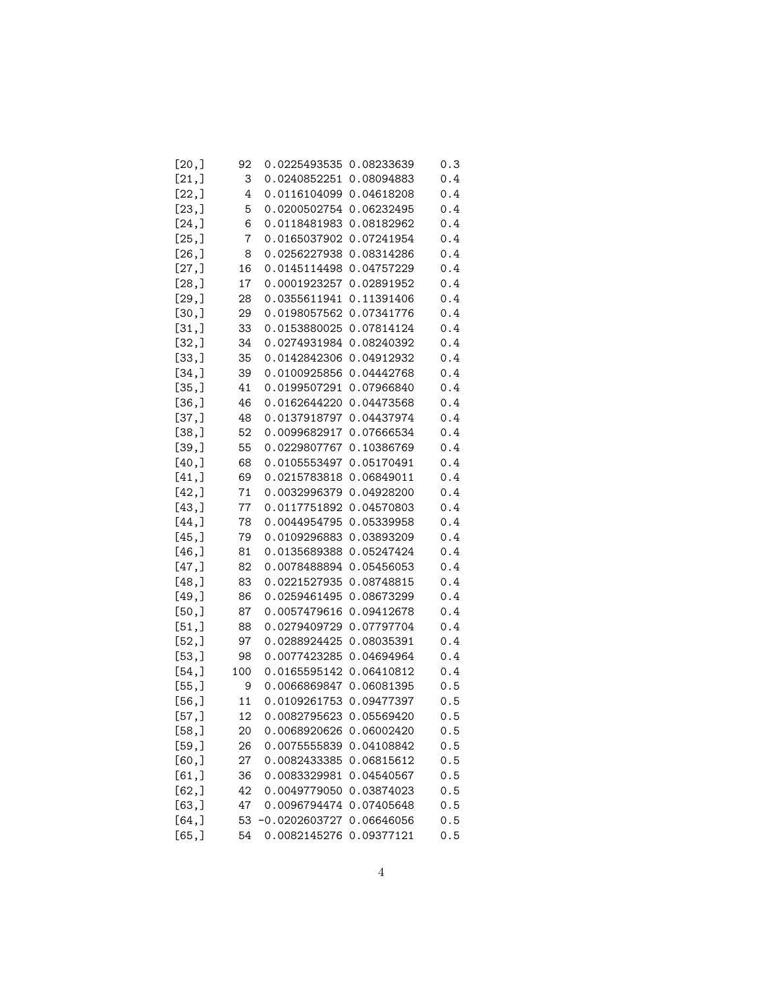| [20,]  | 92             | 0.0225493535            | 0.08233639 | 0.3 |
|--------|----------------|-------------------------|------------|-----|
| [21,]  | 3              | 0.0240852251            | 0.08094883 | 0.4 |
| [22,]  | 4              | 0.0116104099            | 0.04618208 | 0.4 |
| [23,]  | 5              | 0.0200502754            | 0.06232495 | 0.4 |
| [24,]  | 6              | 0.0118481983            | 0.08182962 | 0.4 |
| [25,]  | $\overline{7}$ | 0.0165037902            | 0.07241954 | 0.4 |
| [26, ] | 8              | 0.0256227938            | 0.08314286 | 0.4 |
| [27,]  | 16             | 0.0145114498            | 0.04757229 | 0.4 |
| [28,]  | 17             | 0.0001923257            | 0.02891952 | 0.4 |
| [29,]  | 28             | 0.0355611941            | 0.11391406 | 0.4 |
| [30,]  | 29             | 0.0198057562            | 0.07341776 | 0.4 |
| [31,]  | 33             | 0.0153880025            | 0.07814124 | 0.4 |
| [32,]  | 34             | 0.0274931984            | 0.08240392 | 0.4 |
| [33,]  | 35             | 0.0142842306            | 0.04912932 | 0.4 |
| [34,]  | 39             | 0.0100925856            | 0.04442768 | 0.4 |
| [35,]  | 41             | 0.0199507291            | 0.07966840 | 0.4 |
| [36,]  | 46             | 0.0162644220            | 0.04473568 | 0.4 |
| [37,]  | 48             | 0.0137918797            | 0.04437974 | 0.4 |
| [38,]  | 52             | 0.0099682917            | 0.07666534 | 0.4 |
| [39,]  | 55             | 0.0229807767            | 0.10386769 | 0.4 |
| [40,]  | 68             | 0.0105553497            | 0.05170491 | 0.4 |
| [41,]  | 69             | 0.0215783818            | 0.06849011 | 0.4 |
| [42,]  | 71             | 0.0032996379            | 0.04928200 | 0.4 |
| [43,]  | 77             | 0.0117751892            | 0.04570803 | 0.4 |
| [44,]  | 78             | 0.0044954795            | 0.05339958 | 0.4 |
| [45,]  | 79             | 0.0109296883            | 0.03893209 | 0.4 |
| [46, ] | 81             | 0.0135689388            | 0.05247424 | 0.4 |
| [47,]  | 82             | 0.0078488894            | 0.05456053 | 0.4 |
| [48,]  | 83             | 0.0221527935            | 0.08748815 | 0.4 |
| [49,]  | 86             | 0.0259461495            | 0.08673299 | 0.4 |
| [50,]  | 87             | 0.0057479616            | 0.09412678 | 0.4 |
| [51,]  | 88             | 0.0279409729            | 0.07797704 | 0.4 |
| [52,]  | 97             | 0.0288924425            | 0.08035391 | 0.4 |
| [53,]  | 98             | 0.0077423285            | 0.04694964 | 0.4 |
| [54,]  | 100            | 0.0165595142            | 0.06410812 | 0.4 |
| [55,]  | 9              | 0.0066869847            | 0.06081395 | 0.5 |
| [56, ] | 11             | 0.0109261753            | 0.09477397 | 0.5 |
| [57,]  | 12             | 0.0082795623 0.05569420 |            | 0.5 |
| [58,]  | 20             | 0.0068920626            | 0.06002420 | 0.5 |
| [59,]  | 26             | 0.0075555839            | 0.04108842 | 0.5 |
| [60,   | 27             | 0.0082433385            | 0.06815612 | 0.5 |
| [61,]  | 36             | 0.0083329981            | 0.04540567 | 0.5 |
| [62,]  | 42             | 0.0049779050            | 0.03874023 | 0.5 |
| [63,]  | 47             | 0.0096794474            | 0.07405648 | 0.5 |
| [64,]  | 53             | -0.0202603727           | 0.06646056 | 0.5 |
| [65,]  | 54             | 0.0082145276            | 0.09377121 | 0.5 |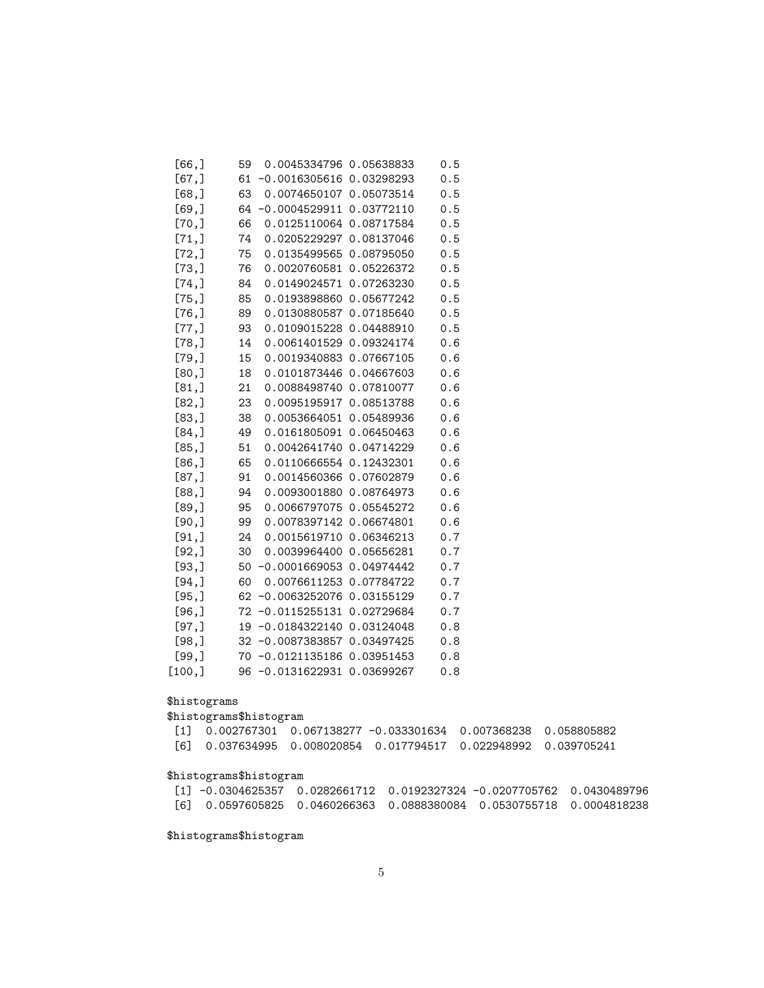| [66,   | 59 | 0.0045334796 0.05638833    |            | 0.5 |
|--------|----|----------------------------|------------|-----|
| [67,]  | 61 | $-0.0016305616$            | 0.03298293 | 0.5 |
| [68, ] | 63 | 0.0074650107               | 0.05073514 | 0.5 |
| [69,]  | 64 | $-0.0004529911$            | 0.03772110 | 0.5 |
| [70,]  | 66 | 0.0125110064 0.08717584    |            | 0.5 |
| [71,]  | 74 | 0.0205229297               | 0.08137046 | 0.5 |
| [72,]  | 75 | 0.0135499565 0.08795050    |            | 0.5 |
| [73,]  | 76 | 0.0020760581               | 0.05226372 | 0.5 |
| [74,]  | 84 | 0.0149024571               | 0.07263230 | 0.5 |
| [75,]  | 85 | 0.0193898860               | 0.05677242 | 0.5 |
| [76,]  | 89 | 0.0130880587               | 0.07185640 | 0.5 |
| [77,]  | 93 | 0.0109015228               | 0.04488910 | 0.5 |
| [78,]  | 14 | 0.0061401529               | 0.09324174 | 0.6 |
| [79,]  | 15 | 0.0019340883               | 0.07667105 | 0.6 |
| [80,]  | 18 | 0.0101873446               | 0.04667603 | 0.6 |
| [81,]  | 21 | 0.0088498740               | 0.07810077 | 0.6 |
| [82,]  | 23 | 0.0095195917               | 0.08513788 | 0.6 |
| [83,]  | 38 | 0.0053664051               | 0.05489936 | 0.6 |
| [84,   | 49 | 0.0161805091               | 0.06450463 | 0.6 |
| [85,]  | 51 | 0.0042641740 0.04714229    |            | 0.6 |
| [86, ] | 65 | 0.0110666554               | 0.12432301 | 0.6 |
| [87,]  | 91 | 0.0014560366               | 0.07602879 | 0.6 |
| [88,]  | 94 | 0.0093001880               | 0.08764973 | 0.6 |
| [89,]  | 95 | 0.0066797075               | 0.05545272 | 0.6 |
| [90,   | 99 | 0.0078397142               | 0.06674801 | 0.6 |
| [91,]  | 24 | 0.0015619710               | 0.06346213 | 0.7 |
| [92,]  | 30 | 0.0039964400               | 0.05656281 | 0.7 |
| [93, ] | 50 | $-0.0001669053$            | 0.04974442 | 0.7 |
| [94,]  | 60 | 0.0076611253               | 0.07784722 | 0.7 |
| [95,]  | 62 | $-0.0063252076$            | 0.03155129 | 0.7 |
| [96, ] | 72 | $-0.0115255131$            | 0.02729684 | 0.7 |
| [97, ] | 19 | $-0.0184322140$            | 0.03124048 | 0.8 |
| [98,]  |    | 32 -0.0087383857           | 0.03497425 | 0.8 |
| [99,]  | 70 | $-0.0121135186 0.03951453$ |            | 0.8 |
| [100,  | 96 | $-0.0131622931$            | 0.03699267 | 0.8 |

### \$histograms

### \$histograms\$histogram

|  | [1] 0.002767301 0.067138277 -0.033301634 0.007368238 0.058805882          |  |
|--|---------------------------------------------------------------------------|--|
|  | [6]   0.037634995   0.008020854   0.017794517   0.022948992   0.039705241 |  |

# \$histograms\$histogram

| $\lceil 1 \rceil$ -0.0304625357 0.0282661712 0.0192327324 -0.0207705762 0.0430489796 |  |  |
|--------------------------------------------------------------------------------------|--|--|
| [6]  0.0597605825  0.0460266363  0.0888380084  0.0530755718  0.0004818238            |  |  |

\$histograms\$histogram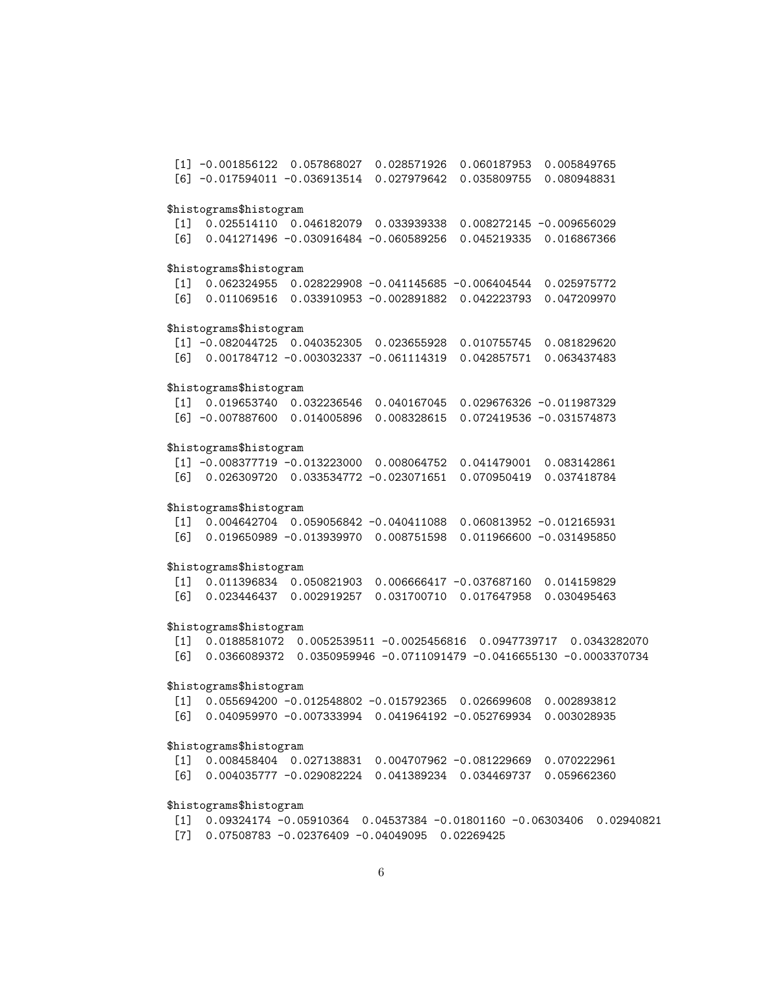[1] -0.001856122 0.057868027 0.028571926 0.060187953 0.005849765 [6] -0.017594011 -0.036913514 0.027979642 0.035809755 0.080948831 \$histograms\$histogram [1] 0.025514110 0.046182079 0.033939338 0.008272145 -0.009656029 [6] 0.041271496 -0.030916484 -0.060589256 0.045219335 0.016867366 \$histograms\$histogram [1] 0.062324955 0.028229908 -0.041145685 -0.006404544 0.025975772 [6] 0.011069516 0.033910953 -0.002891882 0.042223793 0.047209970 \$histograms\$histogram [1] -0.082044725 0.040352305 0.023655928 0.010755745 0.081829620 [6] 0.001784712 -0.003032337 -0.061114319 0.042857571 0.063437483 \$histograms\$histogram [1] 0.019653740 0.032236546 0.040167045 0.029676326 -0.011987329 [6] -0.007887600 0.014005896 0.008328615 0.072419536 -0.031574873 \$histograms\$histogram [1] -0.008377719 -0.013223000 0.008064752 0.041479001 0.083142861 [6] 0.026309720 0.033534772 -0.023071651 0.070950419 0.037418784 \$histograms\$histogram [1] 0.004642704 0.059056842 -0.040411088 0.060813952 -0.012165931 [6] 0.019650989 -0.013939970 0.008751598 0.011966600 -0.031495850 \$histograms\$histogram [1] 0.011396834 0.050821903 0.006666417 -0.037687160 0.014159829 [6] 0.023446437 0.002919257 0.031700710 0.017647958 0.030495463 \$histograms\$histogram [1] 0.0188581072 0.0052539511 -0.0025456816 0.0947739717 0.0343282070 [6] 0.0366089372 0.0350959946 -0.0711091479 -0.0416655130 -0.0003370734 \$histograms\$histogram [1] 0.055694200 -0.012548802 -0.015792365 0.026699608 0.002893812 [6] 0.040959970 -0.007333994 0.041964192 -0.052769934 0.003028935 \$histograms\$histogram [1] 0.008458404 0.027138831 0.004707962 -0.081229669 0.070222961 [6] 0.004035777 -0.029082224 0.041389234 0.034469737 0.059662360

### \$histograms\$histogram

[1] 0.09324174 -0.05910364 0.04537384 -0.01801160 -0.06303406 0.02940821 [7] 0.07508783 -0.02376409 -0.04049095 0.02269425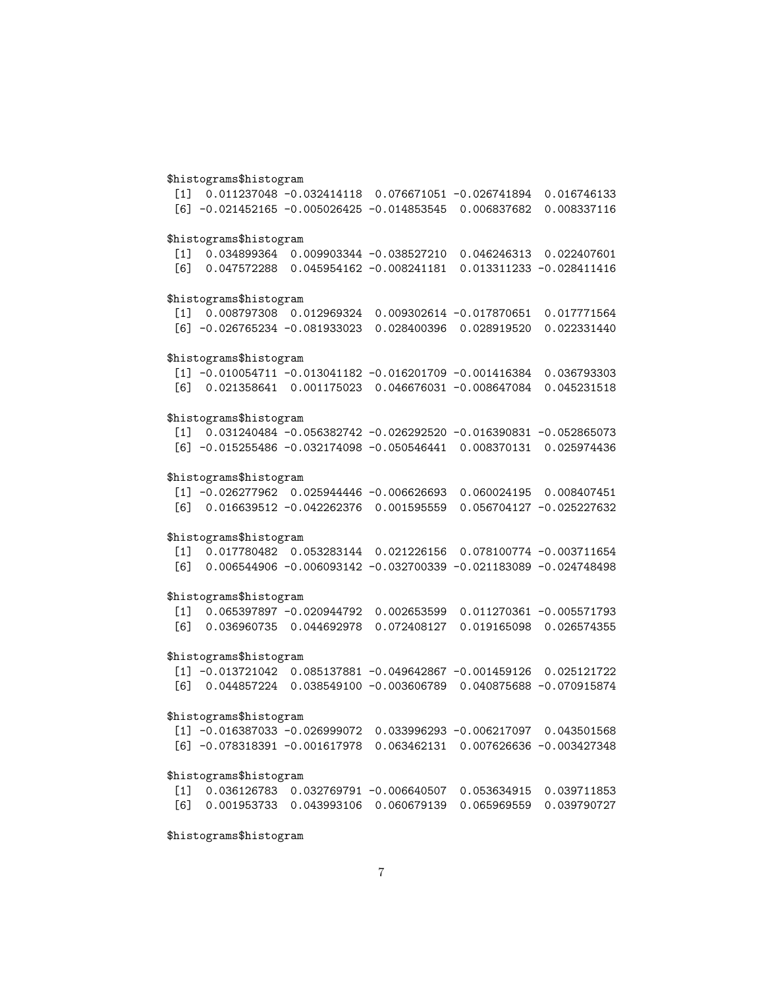### \$histograms\$histogram

[1] 0.011237048 -0.032414118 0.076671051 -0.026741894 0.016746133 [6] -0.021452165 -0.005026425 -0.014853545 0.006837682 0.008337116 \$histograms\$histogram [1] 0.034899364 0.009903344 -0.038527210 0.046246313 0.022407601 [6] 0.047572288 0.045954162 -0.008241181 0.013311233 -0.028411416 \$histograms\$histogram [1] 0.008797308 0.012969324 0.009302614 -0.017870651 0.017771564 [6] -0.026765234 -0.081933023 0.028400396 0.028919520 0.022331440 \$histograms\$histogram [1] -0.010054711 -0.013041182 -0.016201709 -0.001416384 0.036793303 [6] 0.021358641 0.001175023 0.046676031 -0.008647084 0.045231518 \$histograms\$histogram [1] 0.031240484 -0.056382742 -0.026292520 -0.016390831 -0.052865073 [6] -0.015255486 -0.032174098 -0.050546441 0.008370131 0.025974436 \$histograms\$histogram [1] -0.026277962 0.025944446 -0.006626693 0.060024195 0.008407451 [6] 0.016639512 -0.042262376 0.001595559 0.056704127 -0.025227632

### \$histograms\$histogram

[1] 0.017780482 0.053283144 0.021226156 0.078100774 -0.003711654 [6] 0.006544906 -0.006093142 -0.032700339 -0.021183089 -0.024748498

### \$histograms\$histogram

[1] 0.065397897 -0.020944792 0.002653599 0.011270361 -0.005571793 [6] 0.036960735 0.044692978 0.072408127 0.019165098 0.026574355

### \$histograms\$histogram

[1] -0.013721042 0.085137881 -0.049642867 -0.001459126 0.025121722 [6] 0.044857224 0.038549100 -0.003606789 0.040875688 -0.070915874

# \$histograms\$histogram

|  | $[1]$ -0.016387033 -0.026999072 0.033996293 -0.006217097 0.043501568       |  |  |
|--|----------------------------------------------------------------------------|--|--|
|  | [6] -0.078318391 -0.001617978     0.063462131     0.007626636 -0.003427348 |  |  |

### \$histograms\$histogram

|  | $\begin{bmatrix} 11 & 0.036126783 & 0.032769791 & -0.006640507 & 0.053634915 & 0.039711853 \end{bmatrix}$ |  |
|--|-----------------------------------------------------------------------------------------------------------|--|
|  | [6]        0.001953733        0.043993106        0.060679139        0.065969559        0.039790727        |  |

\$histograms\$histogram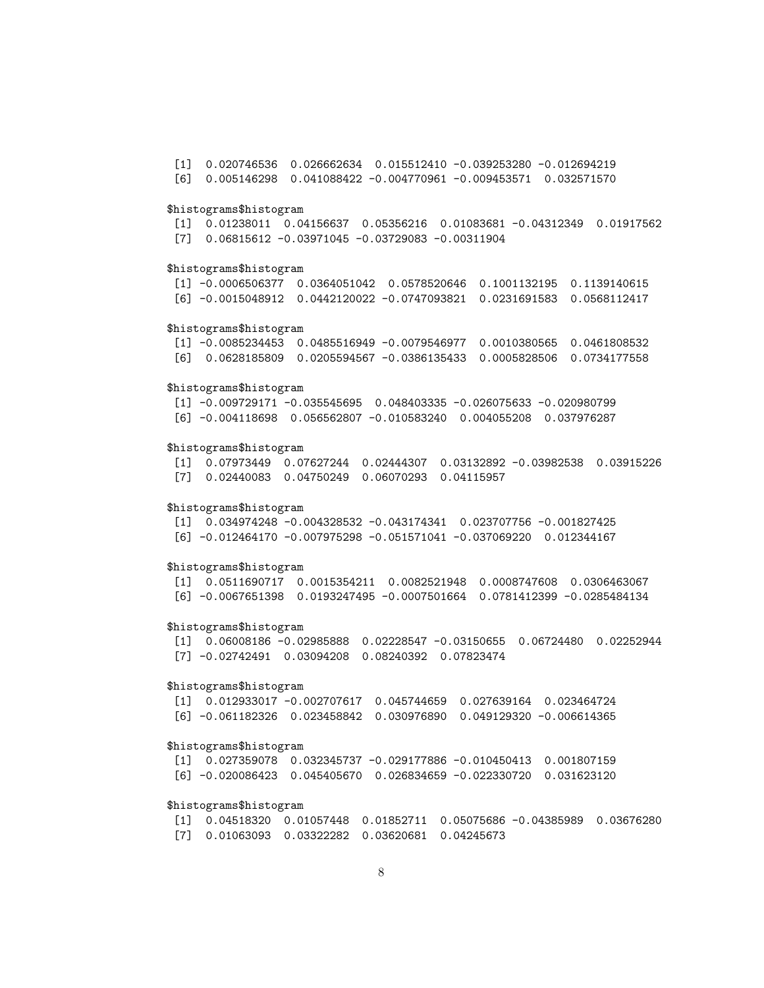[1] 0.020746536 0.026662634 0.015512410 -0.039253280 -0.012694219 [6] 0.005146298 0.041088422 -0.004770961 -0.009453571 0.032571570

#### \$histograms\$histogram

[1] 0.01238011 0.04156637 0.05356216 0.01083681 -0.04312349 0.01917562 [7] 0.06815612 -0.03971045 -0.03729083 -0.00311904

### \$histograms\$histogram

[1] -0.0006506377 0.0364051042 0.0578520646 0.1001132195 0.1139140615 [6] -0.0015048912 0.0442120022 -0.0747093821 0.0231691583 0.0568112417

### \$histograms\$histogram

[1] -0.0085234453 0.0485516949 -0.0079546977 0.0010380565 0.0461808532 [6] 0.0628185809 0.0205594567 -0.0386135433 0.0005828506 0.0734177558

#### \$histograms\$histogram

[1] -0.009729171 -0.035545695 0.048403335 -0.026075633 -0.020980799

[6] -0.004118698 0.056562807 -0.010583240 0.004055208 0.037976287

### \$histograms\$histogram

[1] 0.07973449 0.07627244 0.02444307 0.03132892 -0.03982538 0.03915226 [7] 0.02440083 0.04750249 0.06070293 0.04115957

### \$histograms\$histogram

[1] 0.034974248 -0.004328532 -0.043174341 0.023707756 -0.001827425 [6] -0.012464170 -0.007975298 -0.051571041 -0.037069220 0.012344167

#### \$histograms\$histogram

[1] 0.0511690717 0.0015354211 0.0082521948 0.0008747608 0.0306463067 [6] -0.0067651398 0.0193247495 -0.0007501664 0.0781412399 -0.0285484134

#### \$histograms\$histogram

[1] 0.06008186 -0.02985888 0.02228547 -0.03150655 0.06724480 0.02252944 [7] -0.02742491 0.03094208 0.08240392 0.07823474

### \$histograms\$histogram

[1] 0.012933017 -0.002707617 0.045744659 0.027639164 0.023464724 [6] -0.061182326 0.023458842 0.030976890 0.049129320 -0.006614365

#### \$histograms\$histogram

[1] 0.027359078 0.032345737 -0.029177886 -0.010450413 0.001807159 [6] -0.020086423 0.045405670 0.026834659 -0.022330720 0.031623120

### \$histograms\$histogram

[1] 0.04518320 0.01057448 0.01852711 0.05075686 -0.04385989 0.03676280 [7] 0.01063093 0.03322282 0.03620681 0.04245673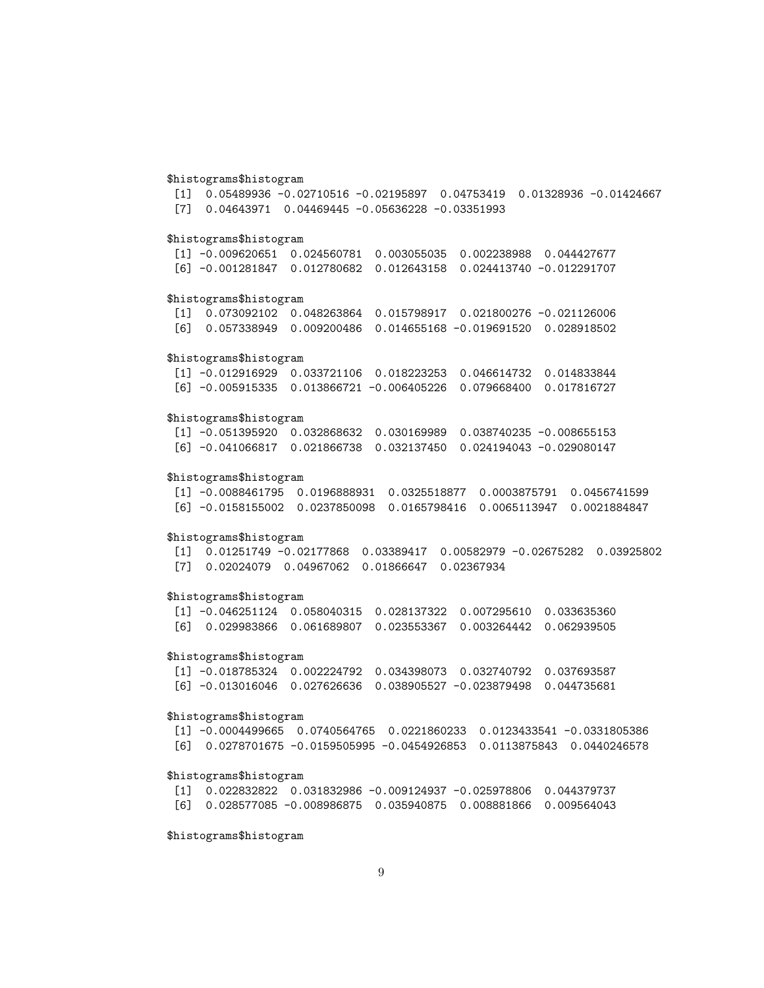### \$histograms\$histogram

[1] 0.05489936 -0.02710516 -0.02195897 0.04753419 0.01328936 -0.01424667 [7] 0.04643971 0.04469445 -0.05636228 -0.03351993

### \$histograms\$histogram

[1] -0.009620651 0.024560781 0.003055035 0.002238988 0.044427677 [6] -0.001281847 0.012780682 0.012643158 0.024413740 -0.012291707

### \$histograms\$histogram

[1] 0.073092102 0.048263864 0.015798917 0.021800276 -0.021126006 [6] 0.057338949 0.009200486 0.014655168 -0.019691520 0.028918502

#### \$histograms\$histogram

[1] -0.012916929 0.033721106 0.018223253 0.046614732 0.014833844 [6] -0.005915335 0.013866721 -0.006405226 0.079668400 0.017816727

### \$histograms\$histogram

[1] -0.051395920 0.032868632 0.030169989 0.038740235 -0.008655153 [6] -0.041066817 0.021866738 0.032137450 0.024194043 -0.029080147

#### \$histograms\$histogram

[1] -0.0088461795 0.0196888931 0.0325518877 0.0003875791 0.0456741599 [6] -0.0158155002 0.0237850098 0.0165798416 0.0065113947 0.0021884847

#### \$histograms\$histogram

[1] 0.01251749 -0.02177868 0.03389417 0.00582979 -0.02675282 0.03925802 [7] 0.02024079 0.04967062 0.01866647 0.02367934

### \$histograms\$histogram

[1] -0.046251124 0.058040315 0.028137322 0.007295610 0.033635360 [6] 0.029983866 0.061689807 0.023553367 0.003264442 0.062939505

### \$histograms\$histogram

[1] -0.018785324 0.002224792 0.034398073 0.032740792 0.037693587 [6] -0.013016046 0.027626636 0.038905527 -0.023879498 0.044735681

### \$histograms\$histogram

[1] -0.0004499665 0.0740564765 0.0221860233 0.0123433541 -0.0331805386 [6] 0.0278701675 -0.0159505995 -0.0454926853 0.0113875843 0.0440246578

### \$histograms\$histogram

[1] 0.022832822 0.031832986 -0.009124937 -0.025978806 0.044379737 [6] 0.028577085 -0.008986875 0.035940875 0.008881866 0.009564043

### \$histograms\$histogram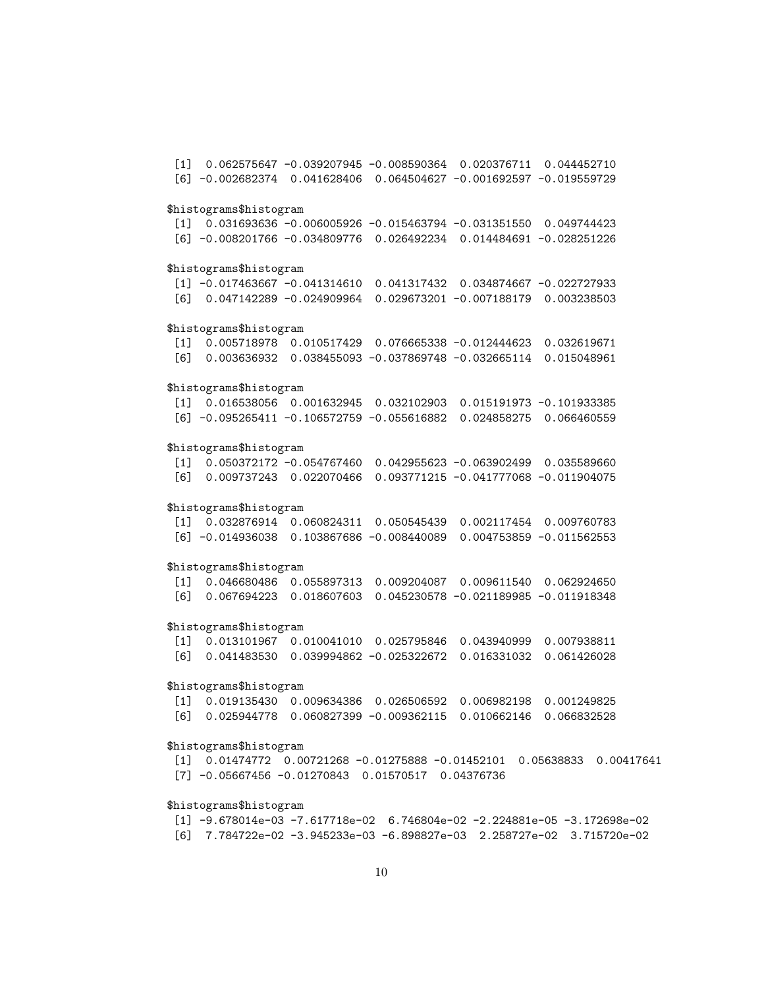[1] 0.062575647 -0.039207945 -0.008590364 0.020376711 0.044452710 [6] -0.002682374 0.041628406 0.064504627 -0.001692597 -0.019559729 \$histograms\$histogram [1] 0.031693636 -0.006005926 -0.015463794 -0.031351550 0.049744423 [6] -0.008201766 -0.034809776 0.026492234 0.014484691 -0.028251226 \$histograms\$histogram [1] -0.017463667 -0.041314610 0.041317432 0.034874667 -0.022727933 [6] 0.047142289 -0.024909964 0.029673201 -0.007188179 0.003238503 \$histograms\$histogram [1] 0.005718978 0.010517429 0.076665338 -0.012444623 0.032619671 [6] 0.003636932 0.038455093 -0.037869748 -0.032665114 0.015048961 \$histograms\$histogram [1] 0.016538056 0.001632945 0.032102903 0.015191973 -0.101933385 [6] -0.095265411 -0.106572759 -0.055616882 0.024858275 0.066460559 \$histograms\$histogram [1] 0.050372172 -0.054767460 0.042955623 -0.063902499 0.035589660 [6] 0.009737243 0.022070466 0.093771215 -0.041777068 -0.011904075 \$histograms\$histogram [1] 0.032876914 0.060824311 0.050545439 0.002117454 0.009760783 [6] -0.014936038 0.103867686 -0.008440089 0.004753859 -0.011562553 \$histograms\$histogram [1] 0.046680486 0.055897313 0.009204087 0.009611540 0.062924650 [6] 0.067694223 0.018607603 0.045230578 -0.021189985 -0.011918348 \$histograms\$histogram [1] 0.013101967 0.010041010 0.025795846 0.043940999 0.007938811 [6] 0.041483530 0.039994862 -0.025322672 0.016331032 0.061426028 \$histograms\$histogram [1] 0.019135430 0.009634386 0.026506592 0.006982198 0.001249825 [6] 0.025944778 0.060827399 -0.009362115 0.010662146 0.066832528 \$histograms\$histogram

[1] 0.01474772 0.00721268 -0.01275888 -0.01452101 0.05638833 0.00417641 [7] -0.05667456 -0.01270843 0.01570517 0.04376736

### \$histograms\$histogram

[1] -9.678014e-03 -7.617718e-02 6.746804e-02 -2.224881e-05 -3.172698e-02 [6] 7.784722e-02 -3.945233e-03 -6.898827e-03 2.258727e-02 3.715720e-02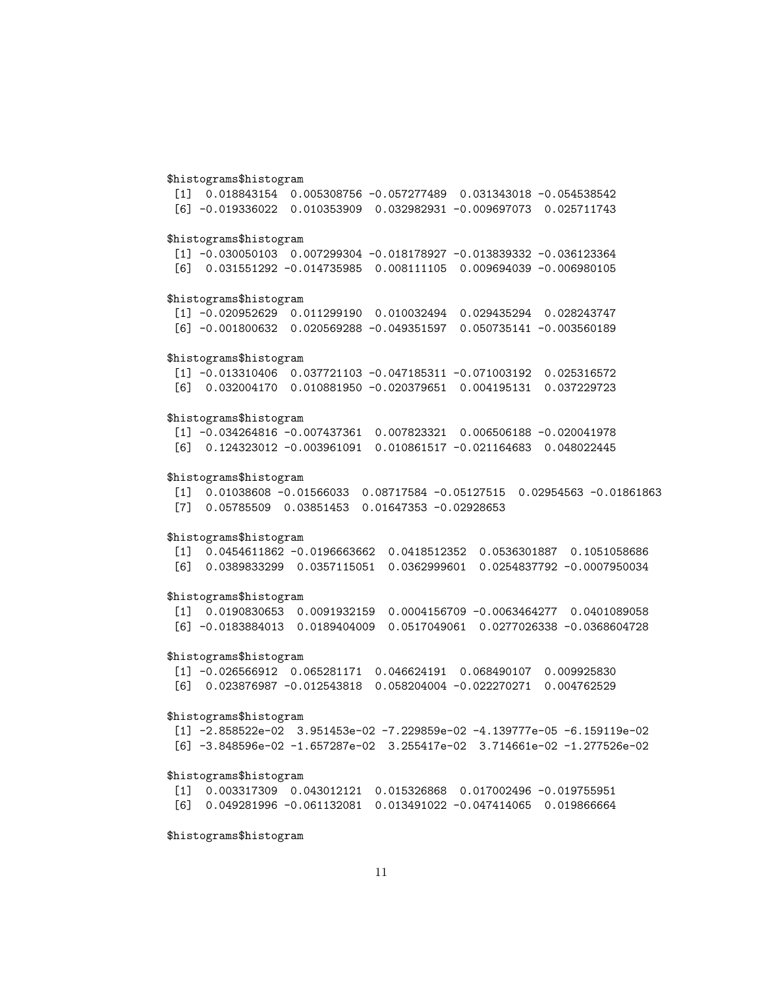### \$histograms\$histogram

[1] 0.018843154 0.005308756 -0.057277489 0.031343018 -0.054538542 [6] -0.019336022 0.010353909 0.032982931 -0.009697073 0.025711743

### \$histograms\$histogram

[1] -0.030050103 0.007299304 -0.018178927 -0.013839332 -0.036123364 [6] 0.031551292 -0.014735985 0.008111105 0.009694039 -0.006980105

### \$histograms\$histogram

[1] -0.020952629 0.011299190 0.010032494 0.029435294 0.028243747 [6] -0.001800632 0.020569288 -0.049351597 0.050735141 -0.003560189

#### \$histograms\$histogram

[1] -0.013310406 0.037721103 -0.047185311 -0.071003192 0.025316572 [6] 0.032004170 0.010881950 -0.020379651 0.004195131 0.037229723

### \$histograms\$histogram

[1] -0.034264816 -0.007437361 0.007823321 0.006506188 -0.020041978 [6] 0.124323012 -0.003961091 0.010861517 -0.021164683 0.048022445

### \$histograms\$histogram

[1] 0.01038608 -0.01566033 0.08717584 -0.05127515 0.02954563 -0.01861863 [7] 0.05785509 0.03851453 0.01647353 -0.02928653

### \$histograms\$histogram

[1] 0.0454611862 -0.0196663662 0.0418512352 0.0536301887 0.1051058686 [6] 0.0389833299 0.0357115051 0.0362999601 0.0254837792 -0.0007950034

### \$histograms\$histogram

[1] 0.0190830653 0.0091932159 0.0004156709 -0.0063464277 0.0401089058 [6] -0.0183884013 0.0189404009 0.0517049061 0.0277026338 -0.0368604728

### \$histograms\$histogram

[1] -0.026566912 0.065281171 0.046624191 0.068490107 0.009925830 [6] 0.023876987 -0.012543818 0.058204004 -0.022270271 0.004762529

### \$histograms\$histogram

[1] -2.858522e-02 3.951453e-02 -7.229859e-02 -4.139777e-05 -6.159119e-02 [6] -3.848596e-02 -1.657287e-02 3.255417e-02 3.714661e-02 -1.277526e-02

### \$histograms\$histogram

[1] 0.003317309 0.043012121 0.015326868 0.017002496 -0.019755951 [6] 0.049281996 -0.061132081 0.013491022 -0.047414065 0.019866664

### \$histograms\$histogram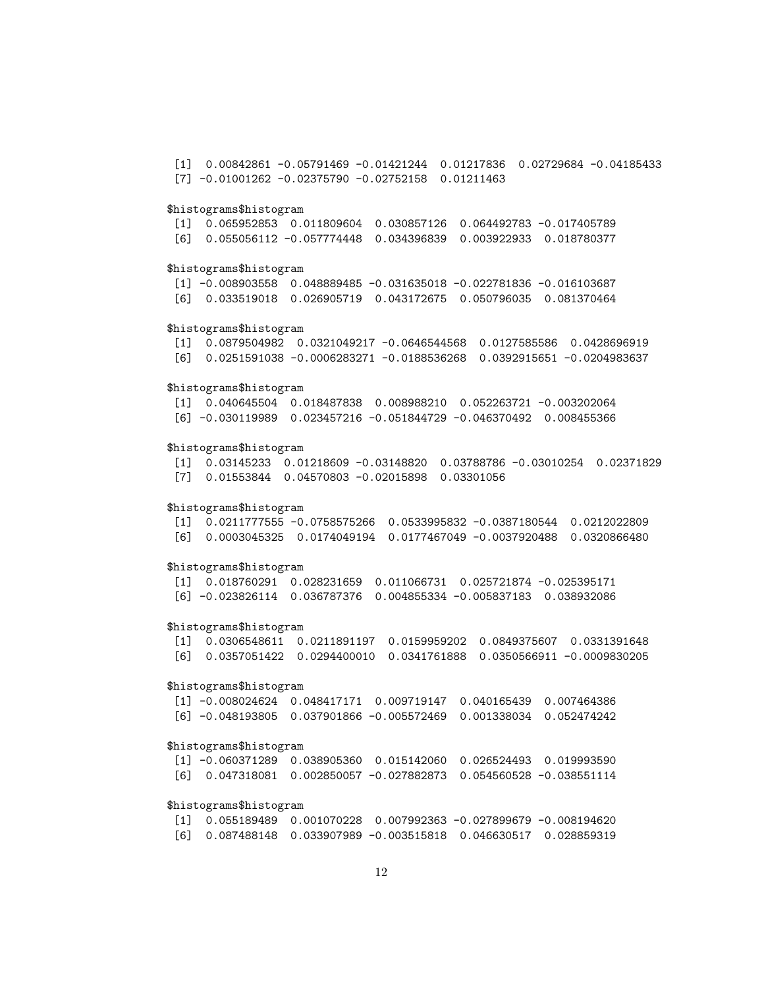[1] 0.00842861 -0.05791469 -0.01421244 0.01217836 0.02729684 -0.04185433 [7] -0.01001262 -0.02375790 -0.02752158 0.01211463

### \$histograms\$histogram

[1] 0.065952853 0.011809604 0.030857126 0.064492783 -0.017405789 [6] 0.055056112 -0.057774448 0.034396839 0.003922933 0.018780377

### \$histograms\$histogram

[1] -0.008903558 0.048889485 -0.031635018 -0.022781836 -0.016103687 [6] 0.033519018 0.026905719 0.043172675 0.050796035 0.081370464

### \$histograms\$histogram

[1] 0.0879504982 0.0321049217 -0.0646544568 0.0127585586 0.0428696919 [6] 0.0251591038 -0.0006283271 -0.0188536268 0.0392915651 -0.0204983637

#### \$histograms\$histogram

[1] 0.040645504 0.018487838 0.008988210 0.052263721 -0.003202064 [6] -0.030119989 0.023457216 -0.051844729 -0.046370492 0.008455366

### \$histograms\$histogram

[1] 0.03145233 0.01218609 -0.03148820 0.03788786 -0.03010254 0.02371829 [7] 0.01553844 0.04570803 -0.02015898 0.03301056

### \$histograms\$histogram

[1] 0.0211777555 -0.0758575266 0.0533995832 -0.0387180544 0.0212022809 [6] 0.0003045325 0.0174049194 0.0177467049 -0.0037920488 0.0320866480

#### \$histograms\$histogram

[1] 0.018760291 0.028231659 0.011066731 0.025721874 -0.025395171 [6] -0.023826114 0.036787376 0.004855334 -0.005837183 0.038932086

#### \$histograms\$histogram

[1] 0.0306548611 0.0211891197 0.0159959202 0.0849375607 0.0331391648 [6] 0.0357051422 0.0294400010 0.0341761888 0.0350566911 -0.0009830205

### \$histograms\$histogram

[1] -0.008024624 0.048417171 0.009719147 0.040165439 0.007464386 [6] -0.048193805 0.037901866 -0.005572469 0.001338034 0.052474242

#### \$histograms\$histogram

[1] -0.060371289 0.038905360 0.015142060 0.026524493 0.019993590 [6] 0.047318081 0.002850057 -0.027882873 0.054560528 -0.038551114

### \$histograms\$histogram

[1] 0.055189489 0.001070228 0.007992363 -0.027899679 -0.008194620 [6] 0.087488148 0.033907989 -0.003515818 0.046630517 0.028859319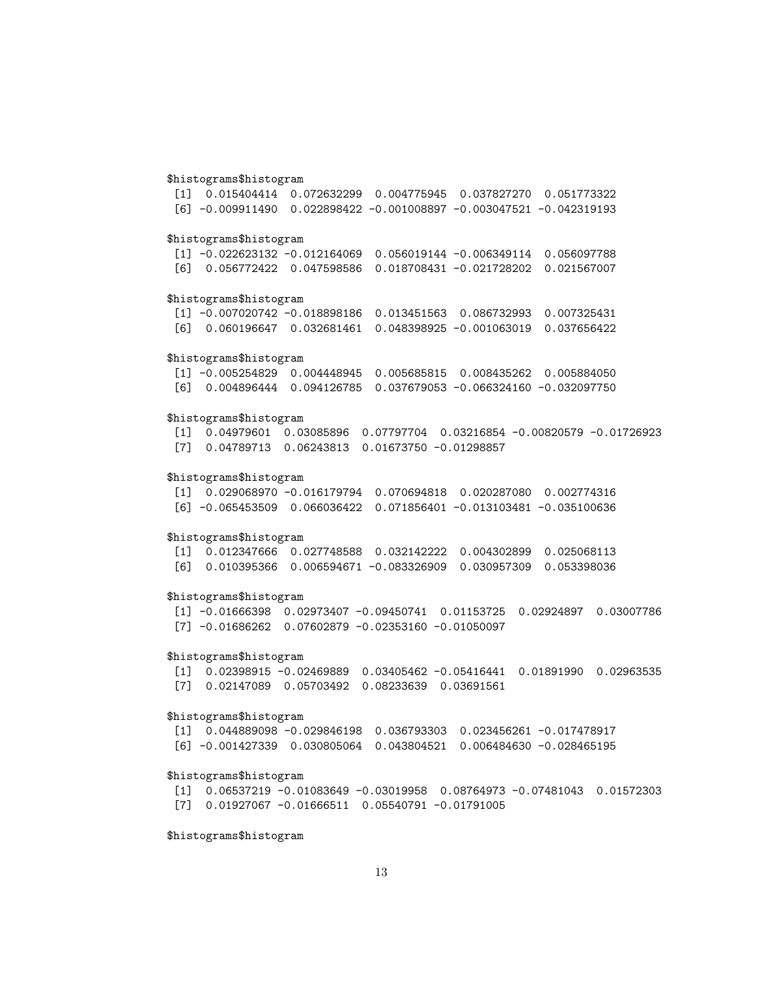### \$histograms\$histogram

[1] 0.015404414 0.072632299 0.004775945 0.037827270 0.051773322 [6] -0.009911490 0.022898422 -0.001008897 -0.003047521 -0.042319193

### \$histograms\$histogram

[1] -0.022623132 -0.012164069 0.056019144 -0.006349114 0.056097788 [6] 0.056772422 0.047598586 0.018708431 -0.021728202 0.021567007

### \$histograms\$histogram

[1] -0.007020742 -0.018898186 0.013451563 0.086732993 0.007325431 [6] 0.060196647 0.032681461 0.048398925 -0.001063019 0.037656422

#### \$histograms\$histogram

[1] -0.005254829 0.004448945 0.005685815 0.008435262 0.005884050 [6] 0.004896444 0.094126785 0.037679053 -0.066324160 -0.032097750

### \$histograms\$histogram

[1] 0.04979601 0.03085896 0.07797704 0.03216854 -0.00820579 -0.01726923 [7] 0.04789713 0.06243813 0.01673750 -0.01298857

### \$histograms\$histogram

[1] 0.029068970 -0.016179794 0.070694818 0.020287080 0.002774316 [6] -0.065453509 0.066036422 0.071856401 -0.013103481 -0.035100636

#### \$histograms\$histogram

[1] 0.012347666 0.027748588 0.032142222 0.004302899 0.025068113 [6] 0.010395366 0.006594671 -0.083326909 0.030957309 0.053398036

### \$histograms\$histogram

[1] -0.01666398 0.02973407 -0.09450741 0.01153725 0.02924897 0.03007786 [7] -0.01686262 0.07602879 -0.02353160 -0.01050097

### \$histograms\$histogram

[1] 0.02398915 -0.02469889 0.03405462 -0.05416441 0.01891990 0.02963535 [7] 0.02147089 0.05703492 0.08233639 0.03691561

### \$histograms\$histogram

[1] 0.044889098 -0.029846198 0.036793303 0.023456261 -0.017478917 [6] -0.001427339 0.030805064 0.043804521 0.006484630 -0.028465195

### \$histograms\$histogram

[1] 0.06537219 -0.01083649 -0.03019958 0.08764973 -0.07481043 0.01572303 [7] 0.01927067 -0.01666511 0.05540791 -0.01791005

### \$histograms\$histogram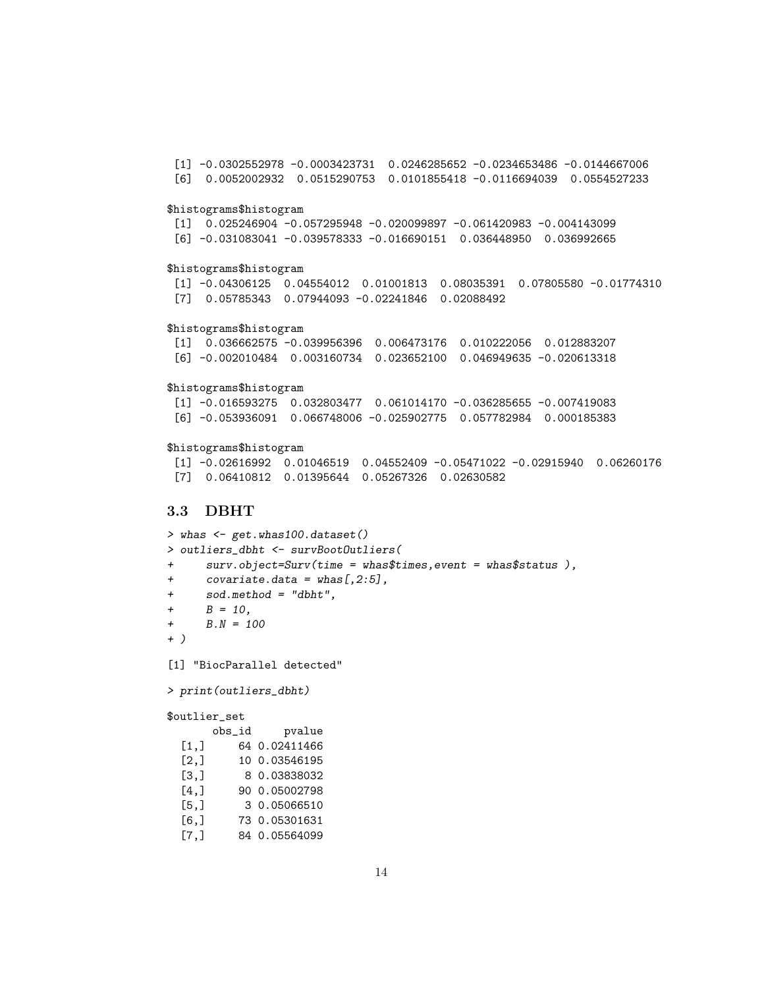[1] -0.0302552978 -0.0003423731 0.0246285652 -0.0234653486 -0.0144667006 [6] 0.0052002932 0.0515290753 0.0101855418 -0.0116694039 0.0554527233 \$histograms\$histogram [1] 0.025246904 -0.057295948 -0.020099897 -0.061420983 -0.004143099 [6] -0.031083041 -0.039578333 -0.016690151 0.036448950 0.036992665 \$histograms\$histogram [1] -0.04306125 0.04554012 0.01001813 0.08035391 0.07805580 -0.01774310 [7] 0.05785343 0.07944093 -0.02241846 0.02088492 \$histograms\$histogram [1] 0.036662575 -0.039956396 0.006473176 0.010222056 0.012883207 [6] -0.002010484 0.003160734 0.023652100 0.046949635 -0.020613318 \$histograms\$histogram [1] -0.016593275 0.032803477 0.061014170 -0.036285655 -0.007419083 [6] -0.053936091 0.066748006 -0.025902775 0.057782984 0.000185383 \$histograms\$histogram

[1] -0.02616992 0.01046519 0.04552409 -0.05471022 -0.02915940 0.06260176 [7] 0.06410812 0.01395644 0.05267326 0.02630582

# <span id="page-13-0"></span>3.3 DBHT

> whas <- get.whas100.dataset() > outliers\_dbht <- survBootOutliers( + surv.object=Surv(time = whas\$times,event = whas\$status ), +  $covariate.data = whas[, 2:5],$ + sod.method = "dbht",  $+$   $B = 10$ , +  $B.N = 100$ + ) [1] "BiocParallel detected"

```
> print(outliers_dbht)
```

```
$outlier_set
```

|       | obs_id | pvalue        |
|-------|--------|---------------|
| [1,]  |        | 64 0.02411466 |
| [2,]  |        | 10 0.03546195 |
| [3,]  |        | 8 0.03838032  |
| [4,]  |        | 90 0.05002798 |
| [5,]  |        | 3 0.05066510  |
| [6, ] |        | 73 0.05301631 |
| [7.]  |        | 84 0.05564099 |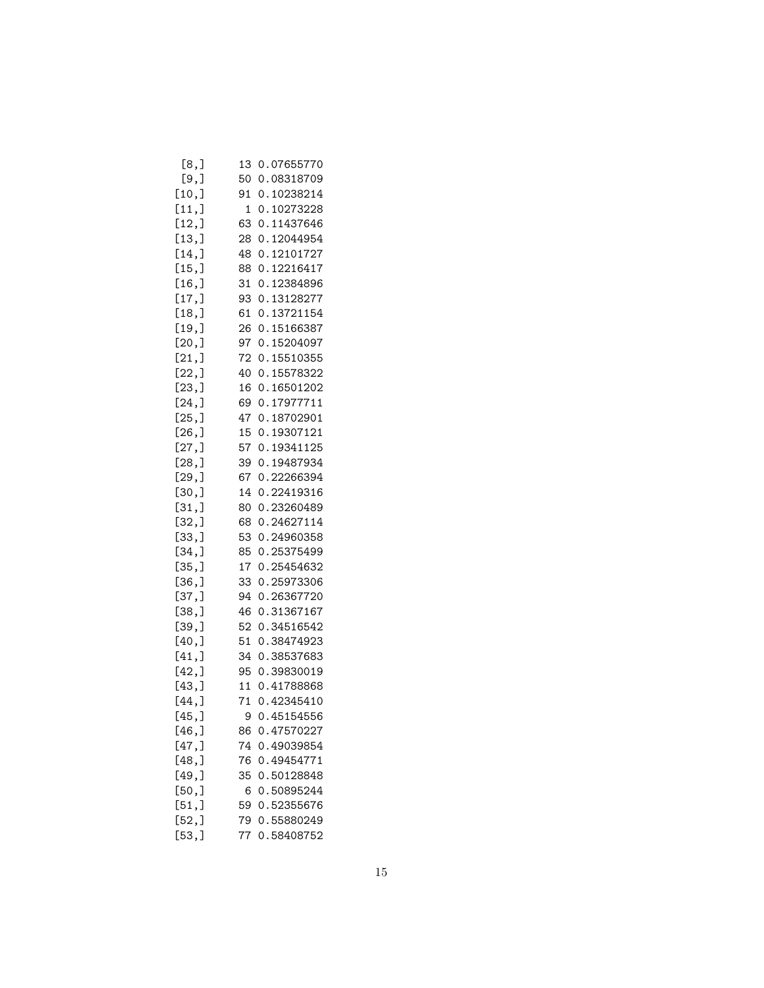| [8,]   | 13 | 0.07655770 |
|--------|----|------------|
| [9,]   | 50 | 0.08318709 |
| [10,]  | 91 | 0.10238214 |
| [11,]  | 1  | 0.10273228 |
| [12,]  | 63 | 0.11437646 |
| [13,]  | 28 | 0.12044954 |
| [14,]  | 48 | 0.12101727 |
| [15,]  | 88 | 0.12216417 |
| [16, ] | 31 | 0.12384896 |
| [17,]  | 93 | 0.13128277 |
| [18,]  | 61 | 0.13721154 |
| [19,]  | 26 | 0.15166387 |
| [20,]  | 97 | 0.15204097 |
| [21,]  | 72 | 0.15510355 |
| [22, ] | 40 | 0.15578322 |
| [23,]  | 16 | 0.16501202 |
|        |    |            |
| [24,]  | 69 | 0.17977711 |
| [25,]  | 47 | 0.18702901 |
| [26, ] | 15 | 0.19307121 |
| [27,]  | 57 | 0.19341125 |
| [28,]  | 39 | 0.19487934 |
| [29,]  | 67 | 0.22266394 |
| [30,]  | 14 | 0.22419316 |
| [31,]  | 80 | 0.23260489 |
| [32,]  | 68 | 0.24627114 |
| [33,]  | 53 | 0.24960358 |
| [34,]  | 85 | 0.25375499 |
| [35,]  | 17 | 0.25454632 |
| [36, ] | 33 | 0.25973306 |
| [37,]  | 94 | 0.26367720 |
| [38, ] | 46 | 0.31367167 |
| [39,]  | 52 | 0.34516542 |
| [40,]  | 51 | 0.38474923 |
| [41,]  | 34 | 0.38537683 |
| [42,]  | 95 | 0.39830019 |
| [43,]  | 11 | 0.41788868 |
| [44, ] | 71 | 0.42345410 |
| [45,]  | 9  | 0.45154556 |
| [46,]  | 86 | 0.47570227 |
| [47,]  | 74 | 0.49039854 |
| [48,]  | 76 | 0.49454771 |
| [49,]  | 35 | 0.50128848 |
| [50,   | 6  | 0.50895244 |
|        | 59 | 0.52355676 |
| [51, ] |    |            |
| [52,]  | 79 | 0.55880249 |
| [53,]  | 77 | 0.58408752 |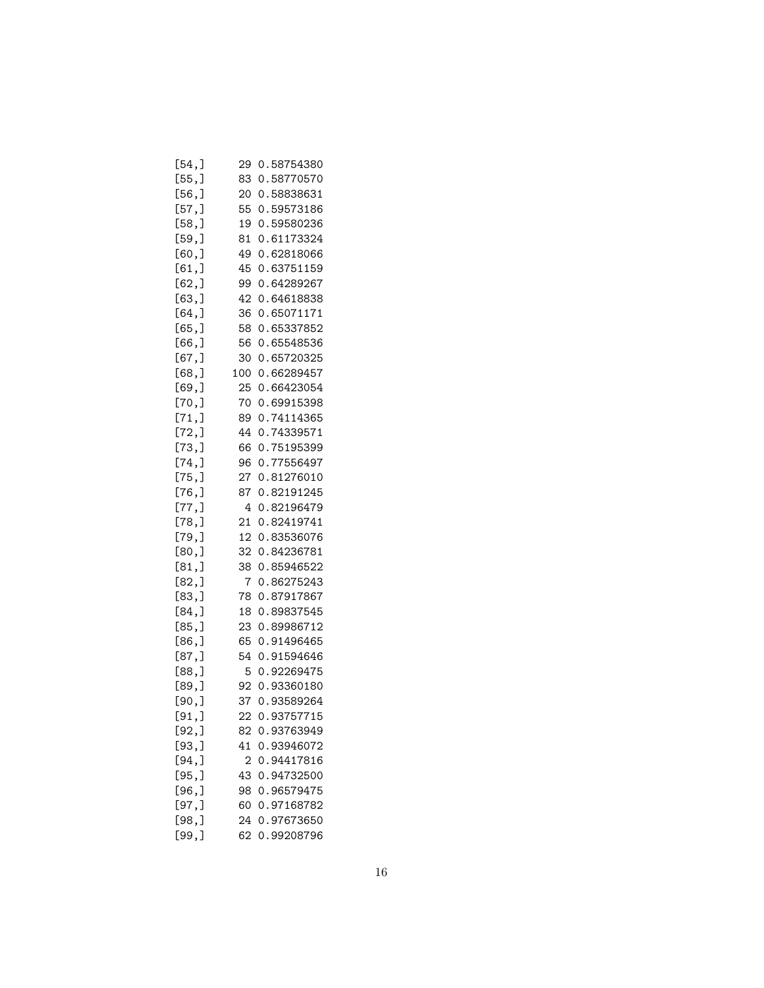| [54,]          | 29             | 0.58754380 |
|----------------|----------------|------------|
| [55,]          | 83             | 0.58770570 |
| [56, ]         | 20             | 0.58838631 |
| [57,]          | 55             | 0.59573186 |
| [58,]          | 19             | 0.59580236 |
| [59,]          | 81             | 0.61173324 |
| [60,]          | 49             | 0.62818066 |
| [61, ]         | 45             | 0.63751159 |
| [62,]          | 99             | 0.64289267 |
| [63, ]         | 42             | 0.64618838 |
| [64, ]         | 36             | 0.65071171 |
| [65,]          | 58             | 0.65337852 |
| [66, ]         | 56             | 0.65548536 |
| [67,]          | 30             | 0.65720325 |
| [68,]          | 100            | 0.66289457 |
| [69,]          | 25             | 0.66423054 |
| [70,]          | 70             | 0.69915398 |
| [71,]          | 89             | 0.74114365 |
| [72,]          | 44             | 0.74339571 |
|                | 66             | 0.75195399 |
| [73,]<br>[74,] | 96             | 0.77556497 |
|                |                |            |
| [75,]          | 27             | 0.81276010 |
| [76,]          | 87             | 0.82191245 |
| [77,]          | 4              | 0.82196479 |
| [78,]          | 21             | 0.82419741 |
| [79,]          | 12             | 0.83536076 |
| [80,]          | 32             | 0.84236781 |
| [81,]          | 38             | 0.85946522 |
| [82,]          | 7              | 0.86275243 |
| [83,]          | 78             | 0.87917867 |
| [84,]          | 18             | 0.89837545 |
| [85,]          | 23             | 0.89986712 |
| [86,]          | 65             | 0.91496465 |
| [87,]          | 54             | 0.91594646 |
| [88,]          | 5              | 0.92269475 |
| [89,]          | 92             | 0.93360180 |
| $[90,$ ]       | 37             | 0.93589264 |
| [91,]          | 22             | 0.93757715 |
| [92,]          | 82             | 0.93763949 |
| [93,]          | 41             | 0.93946072 |
| $[94,$ ]       | $\overline{2}$ | 0.94417816 |
| [95,]          | 43             | 0.94732500 |
| [96,]          | 98             | 0.96579475 |
| [97, ]         | 60             | 0.97168782 |
| [98,]          | 24             | 0.97673650 |
| [99,]          | 62             | 0.99208796 |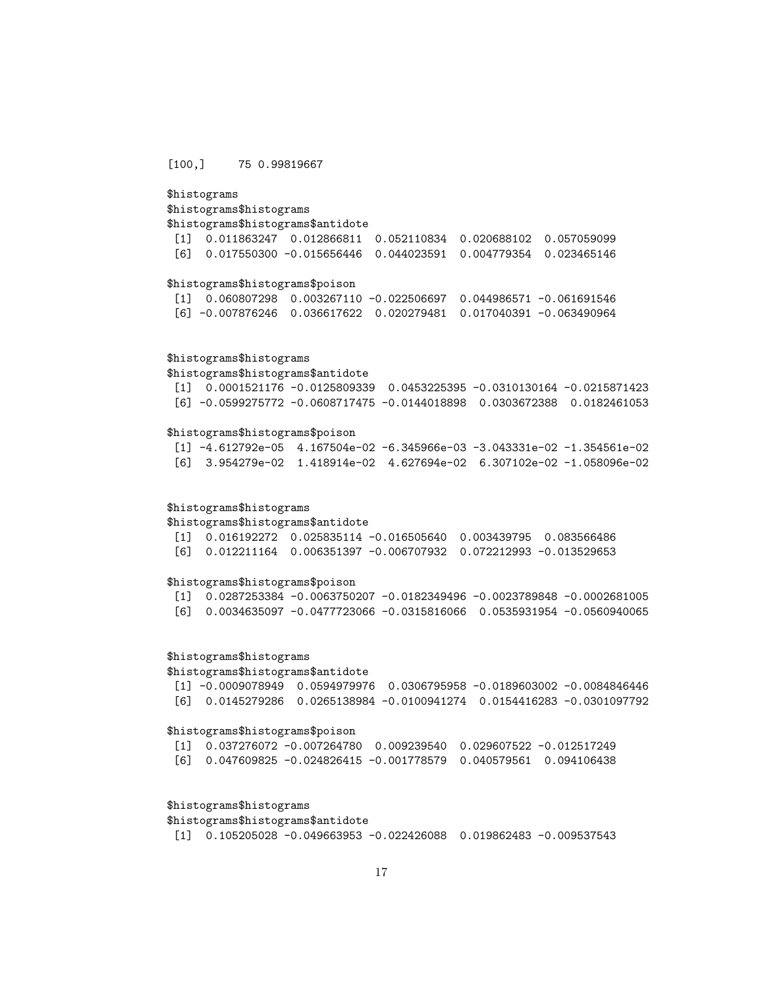### [100,] 75 0.99819667

# \$histograms

### \$histograms\$histograms \$histograms\$histograms\$antidote

[1] 0.011863247 0.012866811 0.052110834 0.020688102 0.057059099 [6] 0.017550300 -0.015656446 0.044023591 0.004779354 0.023465146

### \$histograms\$histograms\$poison

[1] 0.060807298 0.003267110 -0.022506697 0.044986571 -0.061691546 [6] -0.007876246 0.036617622 0.020279481 0.017040391 -0.063490964

### \$histograms\$histograms

\$histograms\$histograms\$antidote

| $\begin{bmatrix} 11 & 0.0001521176 & -0.0125809339 & 0.0453225395 & -0.0310130164 & -0.0215871423 \end{bmatrix}$ |  |  |
|------------------------------------------------------------------------------------------------------------------|--|--|
| [6] -0.0599275772 -0.0608717475 -0.0144018898     0.0303672388     0.0182461053                                  |  |  |

### \$histograms\$histograms\$poison

[1] -4.612792e-05 4.167504e-02 -6.345966e-03 -3.043331e-02 -1.354561e-02 [6] 3.954279e-02 1.418914e-02 4.627694e-02 6.307102e-02 -1.058096e-02

### \$histograms\$histograms

\$histograms\$histograms\$antidote

[1] 0.016192272 0.025835114 -0.016505640 0.003439795 0.083566486 [6] 0.012211164 0.006351397 -0.006707932 0.072212993 -0.013529653

### \$histograms\$histograms\$poison

[1] 0.0287253384 -0.0063750207 -0.0182349496 -0.0023789848 -0.0002681005 [6] 0.0034635097 -0.0477723066 -0.0315816066 0.0535931954 -0.0560940065

### \$histograms\$histograms

\$histograms\$histograms\$antidote

[1] -0.0009078949 0.0594979976 0.0306795958 -0.0189603002 -0.0084846446 [6] 0.0145279286 0.0265138984 -0.0100941274 0.0154416283 -0.0301097792

#### \$histograms\$histograms\$poison

[1] 0.037276072 -0.007264780 0.009239540 0.029607522 -0.012517249

# [6] 0.047609825 -0.024826415 -0.001778579 0.040579561 0.094106438

### \$histograms\$histograms

# \$histograms\$histograms\$antidote

[1] 0.105205028 -0.049663953 -0.022426088 0.019862483 -0.009537543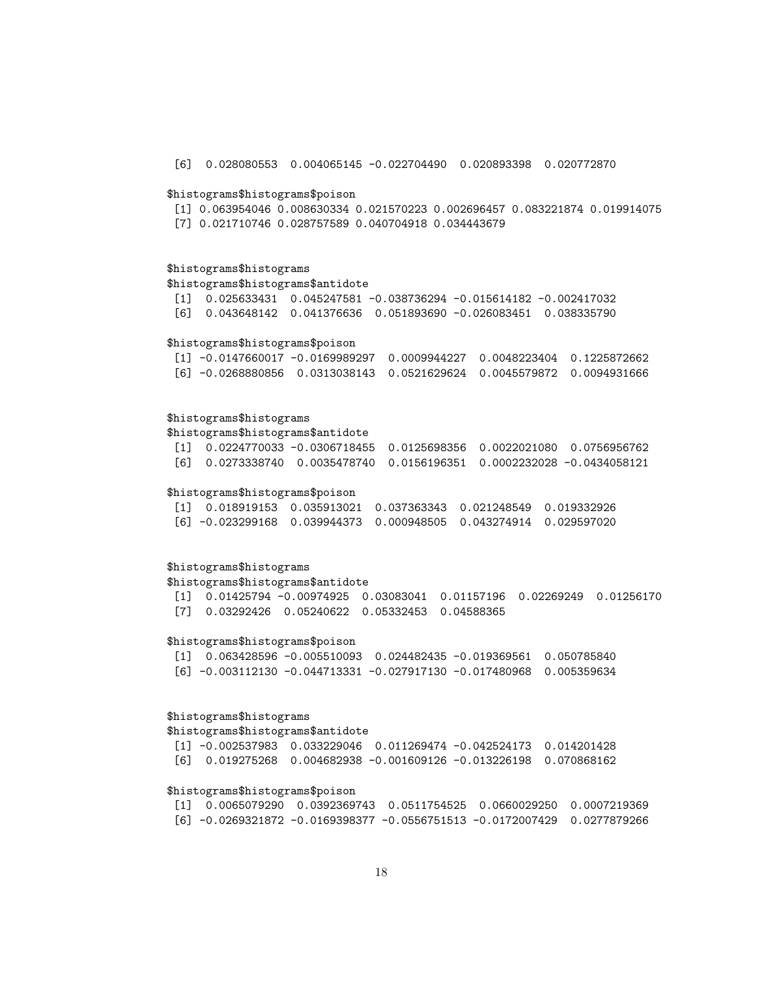[6] 0.028080553 0.004065145 -0.022704490 0.020893398 0.020772870

### \$histograms\$histograms\$poison

- [1] 0.063954046 0.008630334 0.021570223 0.002696457 0.083221874 0.019914075
- [7] 0.021710746 0.028757589 0.040704918 0.034443679

### \$histograms\$histograms

\$histograms\$histograms\$antidote

- [1] 0.025633431 0.045247581 -0.038736294 -0.015614182 -0.002417032
- [6] 0.043648142 0.041376636 0.051893690 -0.026083451 0.038335790

### \$histograms\$histograms\$poison

| $[1]$ -0.0147660017 -0.0169989297 0.0009944227 0.0048223404 0.1225872662 |  |  |
|--------------------------------------------------------------------------|--|--|
|                                                                          |  |  |

# \$histograms\$histograms

\$histograms\$histograms\$antidote

[1] 0.0224770033 -0.0306718455 0.0125698356 0.0022021080 0.0756956762 [6] 0.0273338740 0.0035478740 0.0156196351 0.0002232028 -0.0434058121

### \$histograms\$histograms\$poison

| $\begin{bmatrix} 11 & 0.018919153 & 0.035913021 & 0.037363343 & 0.021248549 & 0.019332926 \end{bmatrix}$ |  |  |
|----------------------------------------------------------------------------------------------------------|--|--|
|                                                                                                          |  |  |

### \$histograms\$histograms

\$histograms\$histograms\$antidote

[1] 0.01425794 -0.00974925 0.03083041 0.01157196 0.02269249 0.01256170 [7] 0.03292426 0.05240622 0.05332453 0.04588365

### \$histograms\$histograms\$poison

[1] 0.063428596 -0.005510093 0.024482435 -0.019369561 0.050785840 [6] -0.003112130 -0.044713331 -0.027917130 -0.017480968 0.005359634

# \$histograms\$histograms

\$histograms\$histograms\$antidote

[1] -0.002537983 0.033229046 0.011269474 -0.042524173 0.014201428 [6] 0.019275268 0.004682938 -0.001609126 -0.013226198 0.070868162

### \$histograms\$histograms\$poison

[1] 0.0065079290 0.0392369743 0.0511754525 0.0660029250 0.0007219369 [6] -0.0269321872 -0.0169398377 -0.0556751513 -0.0172007429 0.0277879266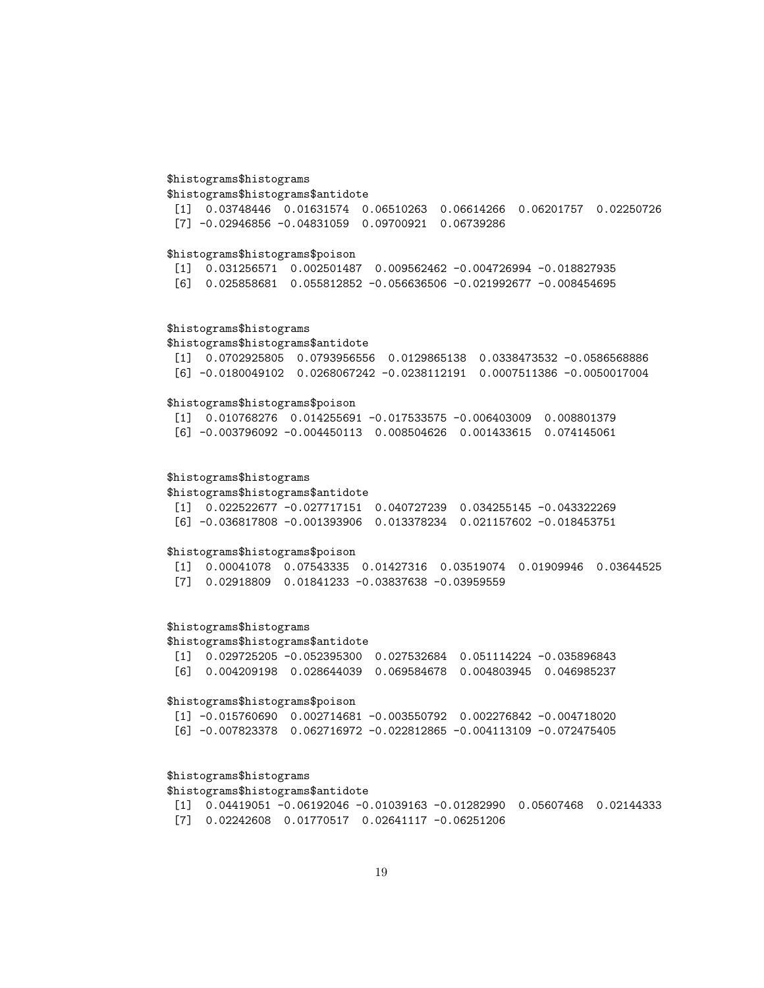### \$histograms\$histograms

\$histograms\$histograms\$antidote

[1] 0.03748446 0.01631574 0.06510263 0.06614266 0.06201757 0.02250726 [7] -0.02946856 -0.04831059 0.09700921 0.06739286

### \$histograms\$histograms\$poison

[1] 0.031256571 0.002501487 0.009562462 -0.004726994 -0.018827935 [6] 0.025858681 0.055812852 -0.056636506 -0.021992677 -0.008454695

### \$histograms\$histograms

\$histograms\$histograms\$antidote

[1] 0.0702925805 0.0793956556 0.0129865138 0.0338473532 -0.0586568886 [6] -0.0180049102 0.0268067242 -0.0238112191 0.0007511386 -0.0050017004

### \$histograms\$histograms\$poison

[1] 0.010768276 0.014255691 -0.017533575 -0.006403009 0.008801379 [6] -0.003796092 -0.004450113 0.008504626 0.001433615 0.074145061

### \$histograms\$histograms

\$histograms\$histograms\$antidote

|  | $\begin{bmatrix} 11 & 0.022522677 & -0.027717151 & 0.040727239 & 0.034255145 & -0.043322269 \end{bmatrix}$ |  |  |
|--|------------------------------------------------------------------------------------------------------------|--|--|
|  | [6] -0.036817808 -0.001393906        0.013378234        0.021157602 -0.018453751                           |  |  |

#### \$histograms\$histograms\$poison

[1] 0.00041078 0.07543335 0.01427316 0.03519074 0.01909946 0.03644525 [7] 0.02918809 0.01841233 -0.03837638 -0.03959559

# \$histograms\$histograms

### \$histograms\$histograms\$antidote

|  | $\begin{bmatrix} 11 & 0.029725205 & -0.052395300 & 0.027532684 & 0.051114224 & -0.035896843 \end{bmatrix}$ |  |  |
|--|------------------------------------------------------------------------------------------------------------|--|--|
|  | [6] 0.004209198 0.028644039 0.069584678 0.004803945 0.046985237                                            |  |  |

### \$histograms\$histograms\$poison

| $\begin{bmatrix} 11 & -0.015760690 & 0.002714681 & -0.003550792 & 0.002276842 & -0.004718020 \end{bmatrix}$ |  |  |
|-------------------------------------------------------------------------------------------------------------|--|--|
| [6] -0.007823378         0.062716972    -0.022812865    -0.004113109   -0.072475405                         |  |  |

### \$histograms\$histograms

\$histograms\$histograms\$antidote

[1] 0.04419051 -0.06192046 -0.01039163 -0.01282990 0.05607468 0.02144333 [7] 0.02242608 0.01770517 0.02641117 -0.06251206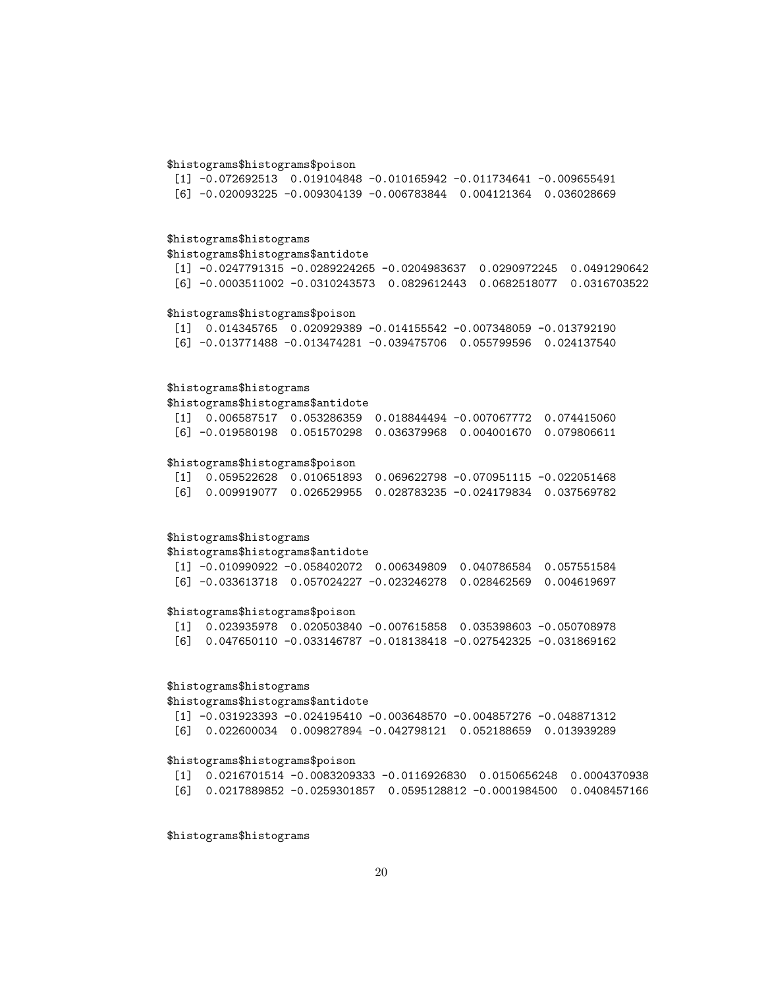### \$histograms\$histograms\$poison

[1] -0.072692513 0.019104848 -0.010165942 -0.011734641 -0.009655491 [6] -0.020093225 -0.009304139 -0.006783844 0.004121364 0.036028669

# \$histograms\$histograms

### \$histograms\$histograms\$antidote

[1] -0.0247791315 -0.0289224265 -0.0204983637 0.0290972245 0.0491290642 [6] -0.0003511002 -0.0310243573 0.0829612443 0.0682518077 0.0316703522

# \$histograms\$histograms\$poison

[1] 0.014345765 0.020929389 -0.014155542 -0.007348059 -0.013792190 [6] -0.013771488 -0.013474281 -0.039475706 0.055799596 0.024137540

### \$histograms\$histograms

\$histograms\$histograms\$antidote

| $\begin{bmatrix} 11 & 0.006587517 & 0.053286359 & 0.018844494 & -0.007067772 & 0.074415060 \end{bmatrix}$ |  |  |
|-----------------------------------------------------------------------------------------------------------|--|--|
|                                                                                                           |  |  |

# \$histograms\$histograms\$poison

|  | $\begin{bmatrix} 11 & 0.059522628 & 0.010651893 & 0.069622798 & -0.070951115 & -0.022051468 \end{bmatrix}$ |  |  |
|--|------------------------------------------------------------------------------------------------------------|--|--|
|  | [6]  0.009919077  0.026529955  0.028783235   -0.024179834  0.037569782                                     |  |  |

### \$histograms\$histograms

\$histograms\$histograms\$antidote

|  | $\lceil 1 \rceil$ -0.010990922 -0.058402072 0.006349809 0.040786584 0.057551584                 |  |  |
|--|-------------------------------------------------------------------------------------------------|--|--|
|  | $[6]$ -0.033613718        0.057024227        -0.023246278        0.028462569        0.004619697 |  |  |

### \$histograms\$histograms\$poison

|  | [1] 0.023935978 0.020503840 -0.007615858 0.035398603 -0.050708978                  |  |
|--|------------------------------------------------------------------------------------|--|
|  | [6]        0.047650110   -0.033146787   -0.018138418   -0.027542325   -0.031869162 |  |

# \$histograms\$histograms

### \$histograms\$histograms\$antidote

| [1] -0.031923393 -0.024195410 -0.003648570 -0.004857276 -0.048871312            |  |  |
|---------------------------------------------------------------------------------|--|--|
| [6]        0.022600034   0.009827894   -0.042798121   0.052188659   0.013939289 |  |  |

### \$histograms\$histograms\$poison

|  |  | $\begin{bmatrix} 11 & 0.0216701514 & -0.0083209333 & -0.0116926830 & 0.0150656248 & 0.0004370938 \end{bmatrix}$ |  |
|--|--|-----------------------------------------------------------------------------------------------------------------|--|
|  |  |                                                                                                                 |  |

\$histograms\$histograms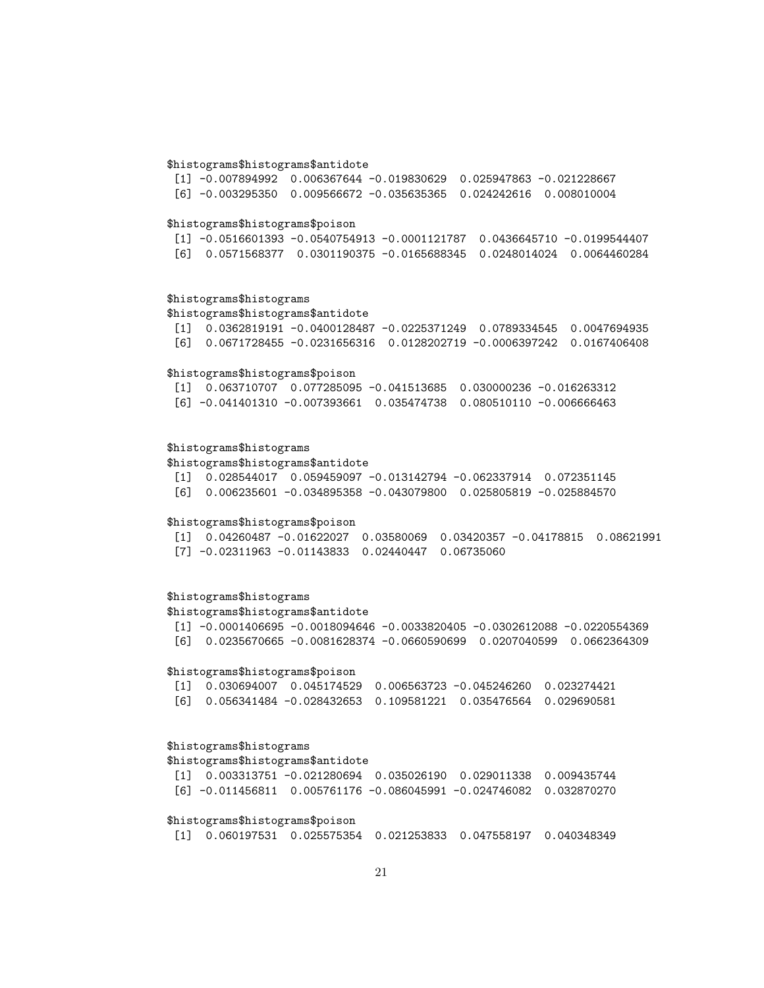### \$histograms\$histograms\$antidote

| $\lceil 1 \rceil$ -0.007894992 0.006367644 -0.019830629 0.025947863 -0.021228667 |  |  |
|----------------------------------------------------------------------------------|--|--|
|                                                                                  |  |  |

#### \$histograms\$histograms\$poison

|  | $[1]$ -0.0516601393 -0.0540754913 -0.0001121787 0.0436645710 -0.0199544407 |  |
|--|----------------------------------------------------------------------------|--|
|  | 「6] 0.0571568377  0.0301190375 -0.0165688345  0.0248014024  0.0064460284   |  |

### \$histograms\$histograms

\$histograms\$histograms\$antidote

```
[1] 0.0362819191 -0.0400128487 -0.0225371249 0.0789334545 0.0047694935
[6] 0.0671728455 -0.0231656316 0.0128202719 -0.0006397242 0.0167406408
```
### \$histograms\$histograms\$poison

|  | [1] 0.063710707 0.077285095 -0.041513685 0.030000236 -0.016263312                |  |
|--|----------------------------------------------------------------------------------|--|
|  | [6] -0.041401310 -0.007393661        0.035474738        0.080510110 -0.006666463 |  |

### \$histograms\$histograms

### \$histograms\$histograms\$antidote

[1] 0.028544017 0.059459097 -0.013142794 -0.062337914 0.072351145

[6] 0.006235601 -0.034895358 -0.043079800 0.025805819 -0.025884570

### \$histograms\$histograms\$poison

[1] 0.04260487 -0.01622027 0.03580069 0.03420357 -0.04178815 0.08621991 [7] -0.02311963 -0.01143833 0.02440447 0.06735060

# \$histograms\$histograms

\$histograms\$histograms\$antidote

[1] -0.0001406695 -0.0018094646 -0.0033820405 -0.0302612088 -0.0220554369 [6] 0.0235670665 -0.0081628374 -0.0660590699 0.0207040599 0.0662364309

### \$histograms\$histograms\$poison

|  | $\begin{bmatrix} 11 & 0.030694007 & 0.045174529 & 0.006563723 & -0.045246260 & 0.023274421 \end{bmatrix}$ |  |  |
|--|-----------------------------------------------------------------------------------------------------------|--|--|
|  | [6]   0.056341484   –0.028432653   0.109581221   0.035476564   0.029690581                                |  |  |

### \$histograms\$histograms

\$histograms\$histograms\$antidote

|  |  | [1] 0.003313751 -0.021280694 0.035026190 0.029011338 0.009435744     |  |
|--|--|----------------------------------------------------------------------|--|
|  |  | $[6]$ -0.011456811 0.005761176 -0.086045991 -0.024746082 0.032870270 |  |

### \$histograms\$histograms\$poison

[1] 0.060197531 0.025575354 0.021253833 0.047558197 0.040348349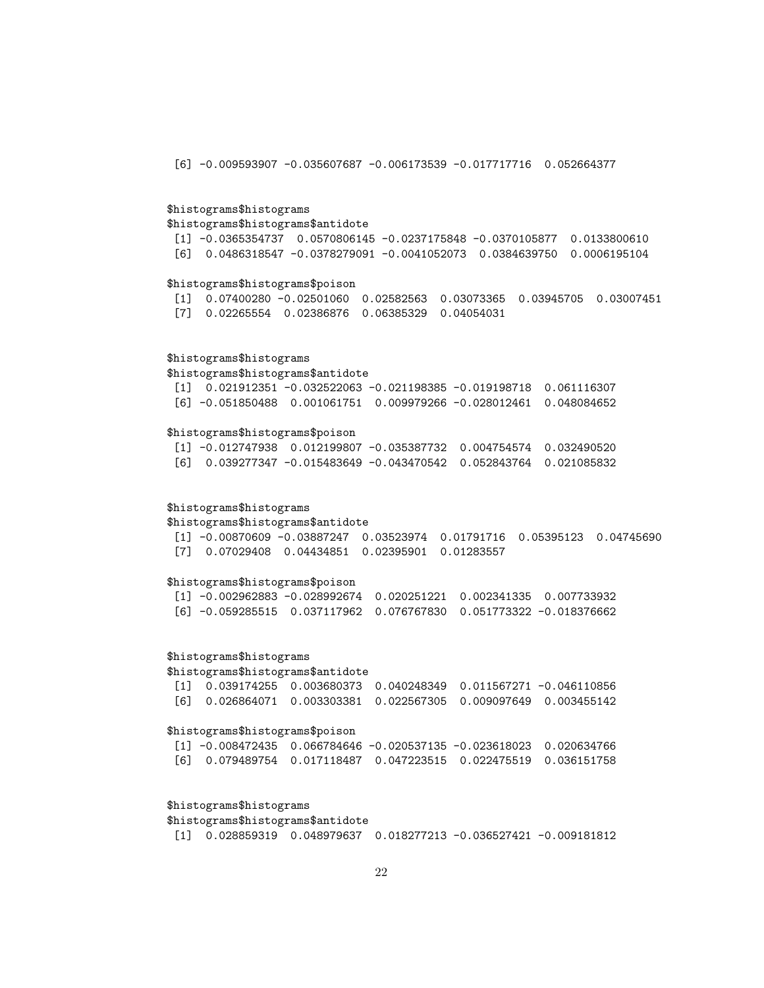[6] -0.009593907 -0.035607687 -0.006173539 -0.017717716 0.052664377

### \$histograms\$histograms

\$histograms\$histograms\$antidote

[1] -0.0365354737 0.0570806145 -0.0237175848 -0.0370105877 0.0133800610 [6] 0.0486318547 -0.0378279091 -0.0041052073 0.0384639750 0.0006195104

### \$histograms\$histograms\$poison

[1] 0.07400280 -0.02501060 0.02582563 0.03073365 0.03945705 0.03007451 [7] 0.02265554 0.02386876 0.06385329 0.04054031

### \$histograms\$histograms

\$histograms\$histograms\$antidote

[1] 0.021912351 -0.032522063 -0.021198385 -0.019198718 0.061116307 [6] -0.051850488 0.001061751 0.009979266 -0.028012461 0.048084652

### \$histograms\$histograms\$poison

[1] -0.012747938 0.012199807 -0.035387732 0.004754574 0.032490520 [6] 0.039277347 -0.015483649 -0.043470542 0.052843764 0.021085832

### \$histograms\$histograms

\$histograms\$histograms\$antidote

[1] -0.00870609 -0.03887247 0.03523974 0.01791716 0.05395123 0.04745690 [7] 0.07029408 0.04434851 0.02395901 0.01283557

### \$histograms\$histograms\$poison

[1] -0.002962883 -0.028992674 0.020251221 0.002341335 0.007733932 [6] -0.059285515 0.037117962 0.076767830 0.051773322 -0.018376662

### \$histograms\$histograms

\$histograms\$histograms\$antidote

[1] 0.039174255 0.003680373 0.040248349 0.011567271 -0.046110856 [6] 0.026864071 0.003303381 0.022567305 0.009097649 0.003455142

#### \$histograms\$histograms\$poison

| $\lceil 1 \rceil$ -0.008472435 0.066784646 -0.020537135 -0.023618023 0.020634766 |  |  |
|----------------------------------------------------------------------------------|--|--|
| [6] 0.079489754 0.017118487 0.047223515 0.022475519 0.036151758                  |  |  |

### \$histograms\$histograms

\$histograms\$histograms\$antidote

[1] 0.028859319 0.048979637 0.018277213 -0.036527421 -0.009181812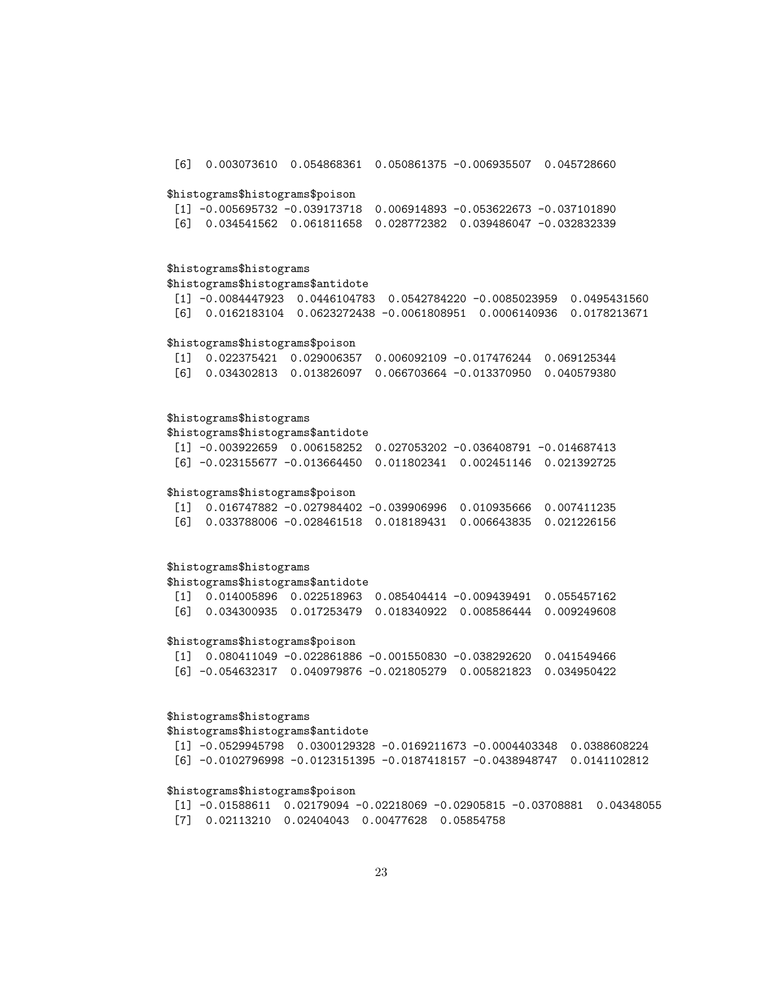[6] 0.003073610 0.054868361 0.050861375 -0.006935507 0.045728660 \$histograms\$histograms\$poison [1] -0.005695732 -0.039173718 0.006914893 -0.053622673 -0.037101890 [6] 0.034541562 0.061811658 0.028772382 0.039486047 -0.032832339 \$histograms\$histograms \$histograms\$histograms\$antidote [1] -0.0084447923 0.0446104783 0.0542784220 -0.0085023959 0.0495431560 [6] 0.0162183104 0.0623272438 -0.0061808951 0.0006140936 0.0178213671 \$histograms\$histograms\$poison [1] 0.022375421 0.029006357 0.006092109 -0.017476244 0.069125344 [6] 0.034302813 0.013826097 0.066703664 -0.013370950 0.040579380 \$histograms\$histograms \$histograms\$histograms\$antidote [1] -0.003922659 0.006158252 0.027053202 -0.036408791 -0.014687413 [6] -0.023155677 -0.013664450 0.011802341 0.002451146 0.021392725 \$histograms\$histograms\$poison [1] 0.016747882 -0.027984402 -0.039906996 0.010935666 0.007411235 [6] 0.033788006 -0.028461518 0.018189431 0.006643835 0.021226156 \$histograms\$histograms \$histograms\$histograms\$antidote [1] 0.014005896 0.022518963 0.085404414 -0.009439491 0.055457162 [6] 0.034300935 0.017253479 0.018340922 0.008586444 0.009249608 \$histograms\$histograms\$poison [1] 0.080411049 -0.022861886 -0.001550830 -0.038292620 0.041549466 [6] -0.054632317 0.040979876 -0.021805279 0.005821823 0.034950422 \$histograms\$histograms \$histograms\$histograms\$antidote

[1] -0.0529945798 0.0300129328 -0.0169211673 -0.0004403348 0.0388608224 [6] -0.0102796998 -0.0123151395 -0.0187418157 -0.0438948747 0.0141102812

### \$histograms\$histograms\$poison

[1] -0.01588611 0.02179094 -0.02218069 -0.02905815 -0.03708881 0.04348055 [7] 0.02113210 0.02404043 0.00477628 0.05854758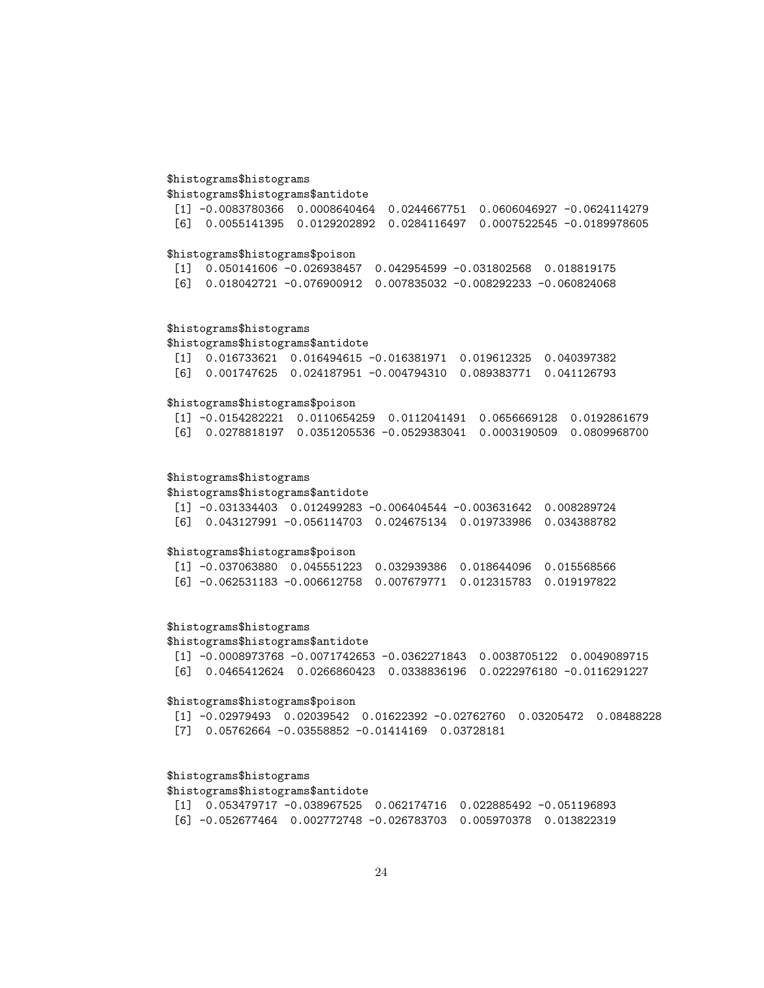### \$histograms\$histograms

\$histograms\$histograms\$antidote

|  |  | $\lceil 1 \rceil$ -0.0083780366 0.0008640464 0.0244667751 0.0606046927 -0.0624114279 |
|--|--|--------------------------------------------------------------------------------------|
|  |  | 「6] 0.0055141395 0.0129202892 0.0284116497 0.0007522545 -0.0189978605                |

### \$histograms\$histograms\$poison

[1] 0.050141606 -0.026938457 0.042954599 -0.031802568 0.018819175 [6] 0.018042721 -0.076900912 0.007835032 -0.008292233 -0.060824068

### \$histograms\$histograms

\$histograms\$histograms\$antidote

|  | $\begin{bmatrix} 11 & 0.016733621 & 0.016494615 & -0.016381971 & 0.019612325 & 0.040397382 \end{bmatrix}$ |  |
|--|-----------------------------------------------------------------------------------------------------------|--|
|  | [6]        0.001747625        0.024187951    -0.004794310    0.089383771    0.041126793                   |  |

# \$histograms\$histograms\$poison

[1] -0.0154282221 0.0110654259 0.0112041491 0.0656669128 0.0192861679 [6] 0.0278818197 0.0351205536 -0.0529383041 0.0003190509 0.0809968700

### \$histograms\$histograms

\$histograms\$histograms\$antidote

|  |  | $\lceil 1 \rceil$ -0.031334403 0.012499283 -0.006404544 -0.003631642 0.008289724 |  |
|--|--|----------------------------------------------------------------------------------|--|
|  |  | [6]  0.043127991  -0.056114703  0.024675134  0.019733986  0.034388782            |  |

### \$histograms\$histograms\$poison

|  | [1] -0.037063880  0.045551223  0.032939386  0.018644096  0.015568566                                    |  |  |
|--|---------------------------------------------------------------------------------------------------------|--|--|
|  | [6] -0.062531183 -0.006612758              0.007679771              0.012315783             0.019197822 |  |  |

### \$histograms\$histograms

# \$histograms\$histograms\$antidote

|  | $\lceil 1 \rceil$ -0.0008973768 -0.0071742653 -0.0362271843 0.0038705122 0.0049089715 |  |
|--|---------------------------------------------------------------------------------------|--|
|  | [6]  0.0465412624  0.0266860423  0.0338836196  0.0222976180  -0.0116291227            |  |

### \$histograms\$histograms\$poison

[1] -0.02979493 0.02039542 0.01622392 -0.02762760 0.03205472 0.08488228 [7] 0.05762664 -0.03558852 -0.01414169 0.03728181

# \$histograms\$histograms

### \$histograms\$histograms\$antidote

|  | $\lceil 1 \rceil$ 0.053479717 -0.038967525 0.062174716 0.022885492 -0.051196893                                      |  |
|--|----------------------------------------------------------------------------------------------------------------------|--|
|  | [6] -0.052677464                    0.002772748    -0.026783703               0.005970378                0.013822319 |  |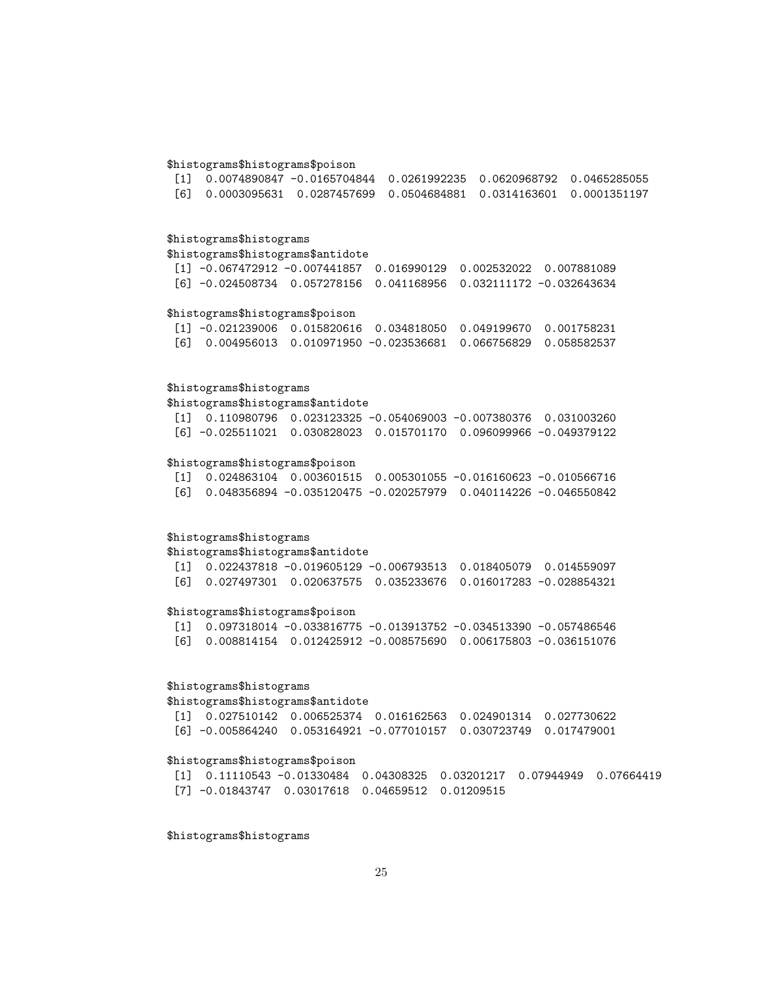# \$histograms\$histograms\$poison

|  | $\lceil 1 \rceil$ 0.0074890847 -0.0165704844 0.0261992235 0.0620968792 0.0465285055                     |  |  |
|--|---------------------------------------------------------------------------------------------------------|--|--|
|  | [6]        0.0003095631        0.0287457699        0.0504684881        0.0314163601        0.0001351197 |  |  |

# \$histograms\$histograms

### \$histograms\$histograms\$antidote

```
[1] -0.067472912 -0.007441857 0.016990129 0.002532022 0.007881089
[6] -0.024508734 0.057278156 0.041168956 0.032111172 -0.032643634
```
# \$histograms\$histograms\$poison

| $\lceil 1 \rceil$ -0.021239006 0.015820616 0.034818050 0.049199670 0.001758231        |  |  |
|---------------------------------------------------------------------------------------|--|--|
| [6]        0.004956013        0.010971950    -0.023536681   0.066756829   0.058582537 |  |  |

### \$histograms\$histograms

\$histograms\$histograms\$antidote

| $\begin{bmatrix} 11 & 0.110980796 & 0.023123325 & -0.054069003 & -0.007380376 & 0.031003260 \end{bmatrix}$ |  |  |
|------------------------------------------------------------------------------------------------------------|--|--|
|                                                                                                            |  |  |

# \$histograms\$histograms\$poison

|  | $\begin{bmatrix} 11 & 0.024863104 & 0.003601515 & 0.005301055 & -0.016160623 & -0.010566716 \end{bmatrix}$ |  |
|--|------------------------------------------------------------------------------------------------------------|--|
|  | [6]        0.048356894   -0.035120475   -0.020257979   0.040114226   -0.046550842                          |  |

# \$histograms\$histograms

\$histograms\$histograms\$antidote

|  | $\begin{bmatrix} 11 & 0.022437818 & -0.019605129 & -0.006793513 & 0.018405079 & 0.014559097 \end{bmatrix}$ |  |  |
|--|------------------------------------------------------------------------------------------------------------|--|--|
|  | 「6]         0.027497301         0.020637575         0.035233676         0.016017283        -0.028854321    |  |  |

### \$histograms\$histograms\$poison

|  | $\begin{bmatrix} 11 & 0.097318014 & -0.033816775 & -0.013913752 & -0.034513390 & -0.057486546 \end{bmatrix}$ |  |
|--|--------------------------------------------------------------------------------------------------------------|--|
|  | [6]        0.008814154        0.012425912    -0.008575690    0.006175803   -0.036151076                      |  |

# \$histograms\$histograms

### \$histograms\$histograms\$antidote

| [1] 0.027510142 0.006525374 0.016162563 0.024901314 0.027730622     |  |  |
|---------------------------------------------------------------------|--|--|
| $[6]$ -0.005864240 0.053164921 -0.077010157 0.030723749 0.017479001 |  |  |

# \$histograms\$histograms\$poison

```
[1] 0.11110543 -0.01330484 0.04308325 0.03201217 0.07944949 0.07664419
[7] -0.01843747 0.03017618 0.04659512 0.01209515
```
\$histograms\$histograms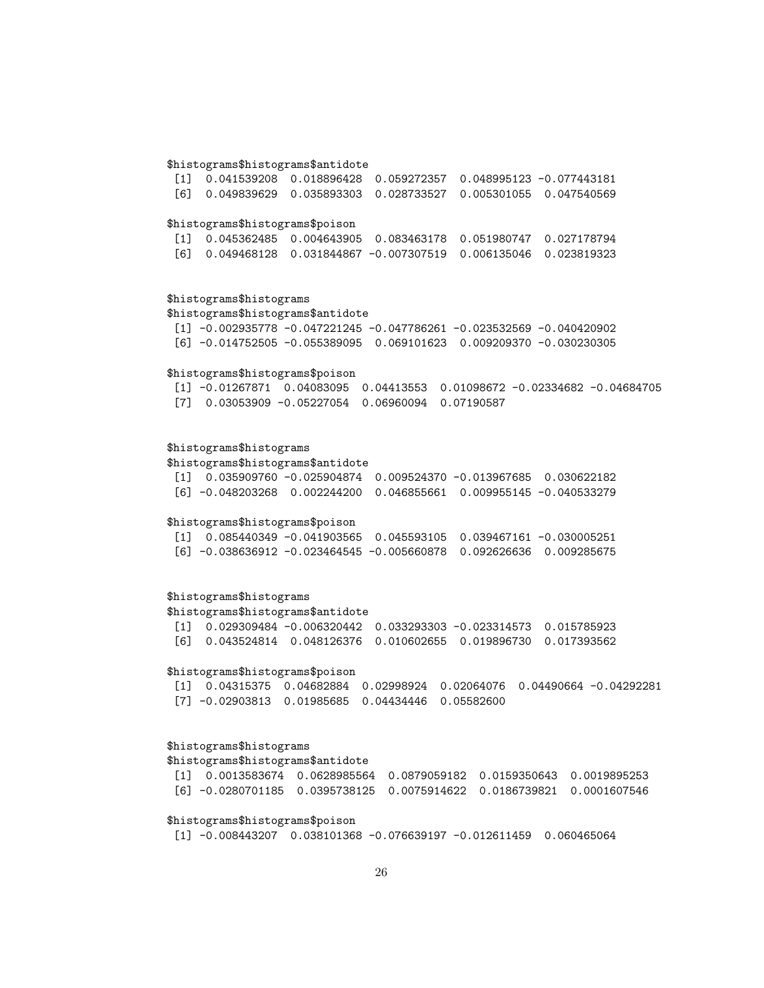### \$histograms\$histograms\$antidote

| $[1]$ 0.041539208 0.018896428 0.059272357 0.048995123 -0.077443181 |                                                                     |  |
|--------------------------------------------------------------------|---------------------------------------------------------------------|--|
|                                                                    | $[6]$ 0.049839629 0.035893303 0.028733527 0.005301055 0.047540569   |  |
|                                                                    |                                                                     |  |
| \$histograms\$histograms\$poison                                   |                                                                     |  |
|                                                                    | [1] 0.045362485  0.004643905  0.083463178  0.051980747  0.027178794 |  |
|                                                                    | [6] 0.049468128 0.031844867 -0.007307519 0.006135046 0.023819323    |  |

# \$histograms\$histograms

\$histograms\$histograms\$antidote [1] -0.002935778 -0.047221245 -0.047786261 -0.023532569 -0.040420902 [6] -0.014752505 -0.055389095 0.069101623 0.009209370 -0.030230305

### \$histograms\$histograms\$poison

[1] -0.01267871 0.04083095 0.04413553 0.01098672 -0.02334682 -0.04684705 [7] 0.03053909 -0.05227054 0.06960094 0.07190587

### \$histograms\$histograms

\$histograms\$histograms\$antidote

| nistoogiamoonistoogiamoodittistoot                                              |  |  |  |  |  |  |  |
|---------------------------------------------------------------------------------|--|--|--|--|--|--|--|
| $\lceil 1 \rceil$ 0.035909760 -0.025904874 0.009524370 -0.013967685 0.030622182 |  |  |  |  |  |  |  |
| [6] -0.048203268  0.002244200  0.046855661  0.009955145  -0.040533279           |  |  |  |  |  |  |  |

# \$histograms\$histograms\$poison

|  | $\lceil 1 \rceil$ 0.085440349 -0.041903565 0.045593105 0.039467161 -0.030005251 |  |
|--|---------------------------------------------------------------------------------|--|
|  |                                                                                 |  |

# \$histograms\$histograms

\$histograms\$histograms\$antidote

[1] 0.029309484 -0.006320442 0.033293303 -0.023314573 0.015785923 [6] 0.043524814 0.048126376 0.010602655 0.019896730 0.017393562

### \$histograms\$histograms\$poison

[1] 0.04315375 0.04682884 0.02998924 0.02064076 0.04490664 -0.04292281 [7] -0.02903813 0.01985685 0.04434446 0.05582600

### \$histograms\$histograms

\$histograms\$histograms\$antidote

| [1] 0.0013583674 0.0628985564 0.0879059182 0.0159350643 0.0019895253 |  |  |
|----------------------------------------------------------------------|--|--|
|                                                                      |  |  |

#### \$histograms\$histograms\$poison

[1] -0.008443207 0.038101368 -0.076639197 -0.012611459 0.060465064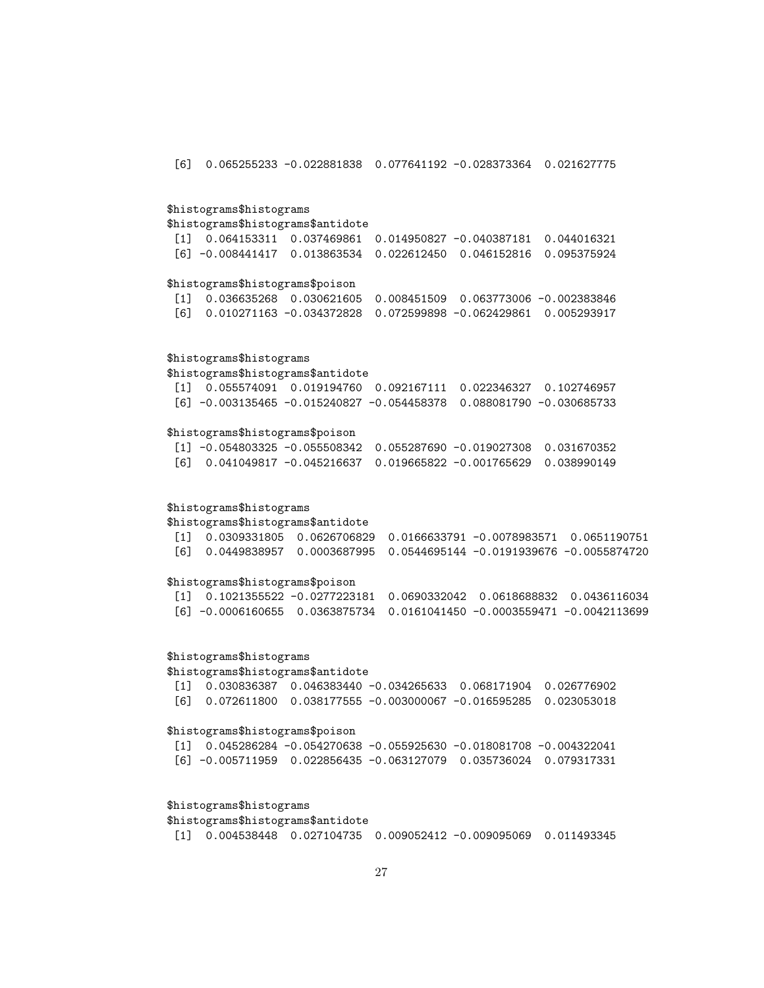[6] 0.065255233 -0.022881838 0.077641192 -0.028373364 0.021627775

### \$histograms\$histograms

\$histograms\$histograms\$antidote [1] 0.064153311 0.037469861 0.014950827 -0.040387181 0.044016321 [6] -0.008441417 0.013863534 0.022612450 0.046152816 0.095375924

### \$histograms\$histograms\$poison

|  | $\begin{bmatrix} 11 & 0.036635268 & 0.030621605 & 0.008451509 & 0.063773006 & -0.002383846 \end{bmatrix}$ |  |  |
|--|-----------------------------------------------------------------------------------------------------------|--|--|
|  |                                                                                                           |  |  |

### \$histograms\$histograms

\$histograms\$histograms\$antidote [1] 0.055574091 0.019194760 0.092167111 0.022346327 0.102746957

[6] -0.003135465 -0.015240827 -0.054458378 0.088081790 -0.030685733

### \$histograms\$histograms\$poison

|  | $\lceil 1 \rceil$ -0.054803325 -0.055508342 0.055287690 -0.019027308 0.031670352 |  |
|--|----------------------------------------------------------------------------------|--|
|  | [6]        0.041049817   -0.045216637   0.019665822   -0.001765629   0.038990149 |  |

### \$histograms\$histograms

\$histograms\$histograms\$antidote

[1] 0.0309331805 0.0626706829 0.0166633791 -0.0078983571 0.0651190751 [6] 0.0449838957 0.0003687995 0.0544695144 -0.0191939676 -0.0055874720

### \$histograms\$histograms\$poison

```
[1] 0.1021355522 -0.0277223181 0.0690332042 0.0618688832 0.0436116034
[6] -0.0006160655 0.0363875734 0.0161041450 -0.0003559471 -0.0042113699
```
### \$histograms\$histograms

\$histograms\$histograms\$antidote

[1] 0.030836387 0.046383440 -0.034265633 0.068171904 0.026776902 [6] 0.072611800 0.038177555 -0.003000067 -0.016595285 0.023053018

#### \$histograms\$histograms\$poison

| $\lceil 1 \rceil$ 0.045286284 -0.054270638 -0.055925630 -0.018081708 -0.004322041                         |  |  |
|-----------------------------------------------------------------------------------------------------------|--|--|
| [6] -0.005711959              0.022856435    -0.063127079             0.035736024             0.079317331 |  |  |

### \$histograms\$histograms

\$histograms\$histograms\$antidote

```
[1] 0.004538448 0.027104735 0.009052412 -0.009095069 0.011493345
```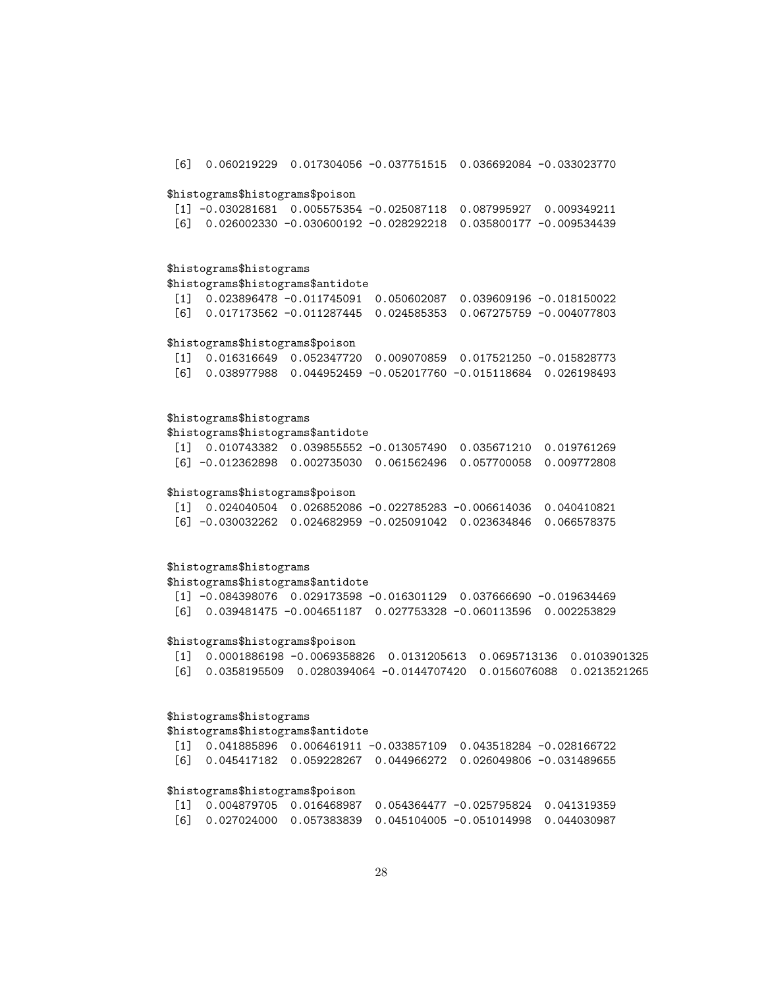[6] 0.060219229 0.017304056 -0.037751515 0.036692084 -0.033023770

### \$histograms\$histograms\$poison

|  | $\lceil 1 \rceil$ -0.030281681 0.005575354 -0.025087118 0.087995927 0.009349211 |  |
|--|---------------------------------------------------------------------------------|--|
|  |                                                                                 |  |

### \$histograms\$histograms

\$histograms\$histograms\$antidote

[1] 0.023896478 -0.011745091 0.050602087 0.039609196 -0.018150022 [6] 0.017173562 -0.011287445 0.024585353 0.067275759 -0.004077803

# \$histograms\$histograms\$poison

|  | [1] 0.016316649 0.052347720 0.009070859 0.017521250 -0.015828773  |  |
|--|-------------------------------------------------------------------|--|
|  | [6] 0.038977988 0.044952459 -0.052017760 -0.015118684 0.026198493 |  |

# \$histograms\$histograms

### \$histograms\$histograms\$antidote

| $\begin{bmatrix} 11 & 0.010743382 & 0.039855552 & -0.013057490 & 0.035671210 & 0.019761269 \end{bmatrix}$ |  |  |
|-----------------------------------------------------------------------------------------------------------|--|--|
| $[6]$ -0.012362898 0.002735030 0.061562496 0.057700058 0.009772808                                        |  |  |

### \$histograms\$histograms\$poison

| $\begin{bmatrix} 11 & 0.024040504 & 0.026852086 & -0.022785283 & -0.006614036 & 0.040410821 \end{bmatrix}$ |  |  |
|------------------------------------------------------------------------------------------------------------|--|--|
| $[6]$ -0.030032262 0.024682959 -0.025091042 0.023634846 0.066578375                                        |  |  |

### \$histograms\$histograms

\$histograms\$histograms\$antidote

[1] -0.084398076 0.029173598 -0.016301129 0.037666690 -0.019634469 [6] 0.039481475 -0.004651187 0.027753328 -0.060113596 0.002253829

#### \$histograms\$histograms\$poison

[1] 0.0001886198 -0.0069358826 0.0131205613 0.0695713136 0.0103901325 [6] 0.0358195509 0.0280394064 -0.0144707420 0.0156076088 0.0213521265

# \$histograms\$histograms

\$histograms\$histograms\$antidote

[1] 0.041885896 0.006461911 -0.033857109 0.043518284 -0.028166722 [6] 0.045417182 0.059228267 0.044966272 0.026049806 -0.031489655

### \$histograms\$histograms\$poison

|  | $\begin{bmatrix} 11 & 0.004879705 & 0.016468987 & 0.054364477 & -0.025795824 & 0.041319359 \end{bmatrix}$ |  |
|--|-----------------------------------------------------------------------------------------------------------|--|
|  |                                                                                                           |  |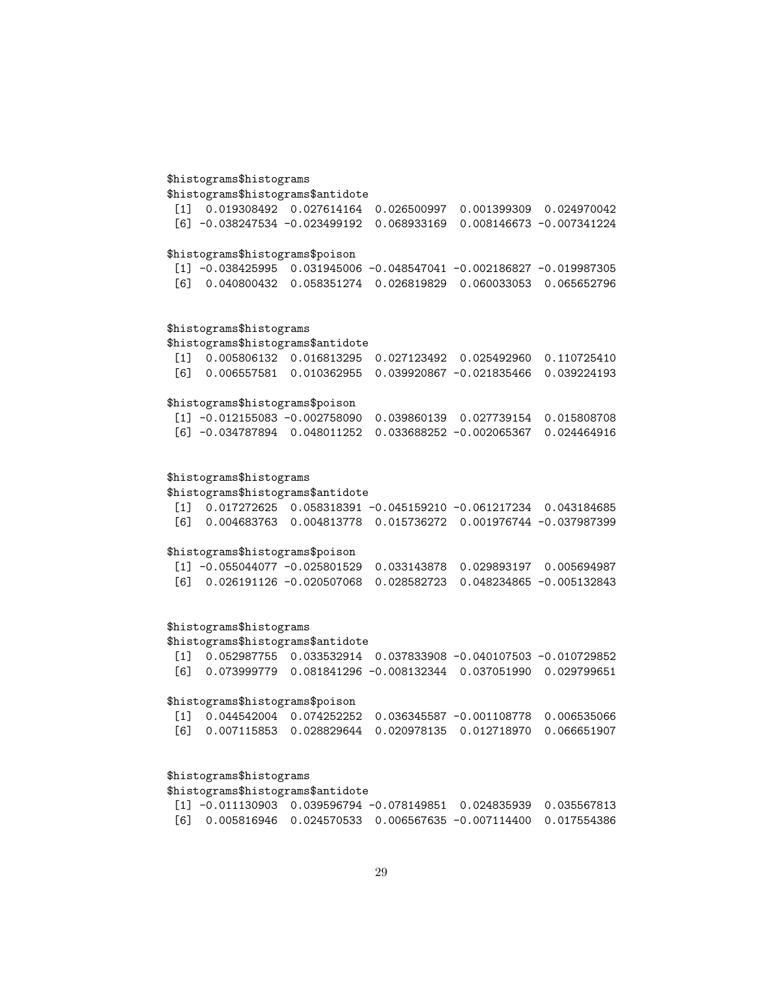# \$histograms\$histograms

\$histograms\$histograms\$antidote

|  | $[1]$ 0.019308492 0.027614164 0.026500997 0.001399309 0.024970042          |  |  |
|--|----------------------------------------------------------------------------|--|--|
|  | [6] -0.038247534 -0.023499192     0.068933169     0.008146673 -0.007341224 |  |  |

# \$histograms\$histograms\$poison

```
[1] -0.038425995 0.031945006 -0.048547041 -0.002186827 -0.019987305
[6] 0.040800432 0.058351274 0.026819829 0.060033053 0.065652796
```
# \$histograms\$histograms

\$histograms\$histograms\$antidote

|  | [1] 0.005806132 0.016813295 0.027123492 0.025492960 0.110725410  |  |
|--|------------------------------------------------------------------|--|
|  | 「6] 0.006557581 0.010362955 0.039920867 -0.021835466 0.039224193 |  |

# \$histograms\$histograms\$poison

|  | $\lceil 1 \rceil$ -0.012155083 -0.002758090 0.039860139 0.027739154 0.015808708 |  |  |
|--|---------------------------------------------------------------------------------|--|--|
|  |                                                                                 |  |  |

# \$histograms\$histograms

\$histograms\$histograms\$antidote

|  | $\lceil 1 \rceil$ 0.017272625 0.058318391 -0.045159210 -0.061217234 0.043184685 |  |
|--|---------------------------------------------------------------------------------|--|
|  | 「6] 0.004683763 0.004813778 0.015736272 0.001976744 −0.037987399                |  |

# \$histograms\$histograms\$poison

|  | $\lceil 1 \rceil$ -0.055044077 -0.025801529 0.033143878 0.029893197 0.005694987 |  |  |
|--|---------------------------------------------------------------------------------|--|--|
|  | 「6] 0.026191126 -0.020507068 0.028582723 0.048234865 -0.005132843               |  |  |

# \$histograms\$histograms

# \$histograms\$histograms\$antidote

| $\begin{bmatrix} 11 & 0.052987755 & 0.033532914 & 0.037833908 & -0.040107503 & -0.010729852 \end{bmatrix}$ |  |  |
|------------------------------------------------------------------------------------------------------------|--|--|
| [6]  0.073999779  0.081841296   -0.008132344  0.037051990  0.029799651                                     |  |  |

# \$histograms\$histograms\$poison

|  |  | $[1]$ 0.044542004 0.074252252 0.036345587 -0.001108778 0.006535066                                 |  |
|--|--|----------------------------------------------------------------------------------------------------|--|
|  |  | [6]        0.007115853        0.028829644        0.020978135        0.012718970        0.066651907 |  |

# \$histograms\$histograms

\$histograms\$histograms\$antidote

| $\lceil 1 \rceil$ -0.011130903 0.039596794 -0.078149851 0.024835939 0.035567813 |  |  |
|---------------------------------------------------------------------------------|--|--|
| [6] 0.005816946 0.024570533 0.006567635 -0.007114400 0.017554386                |  |  |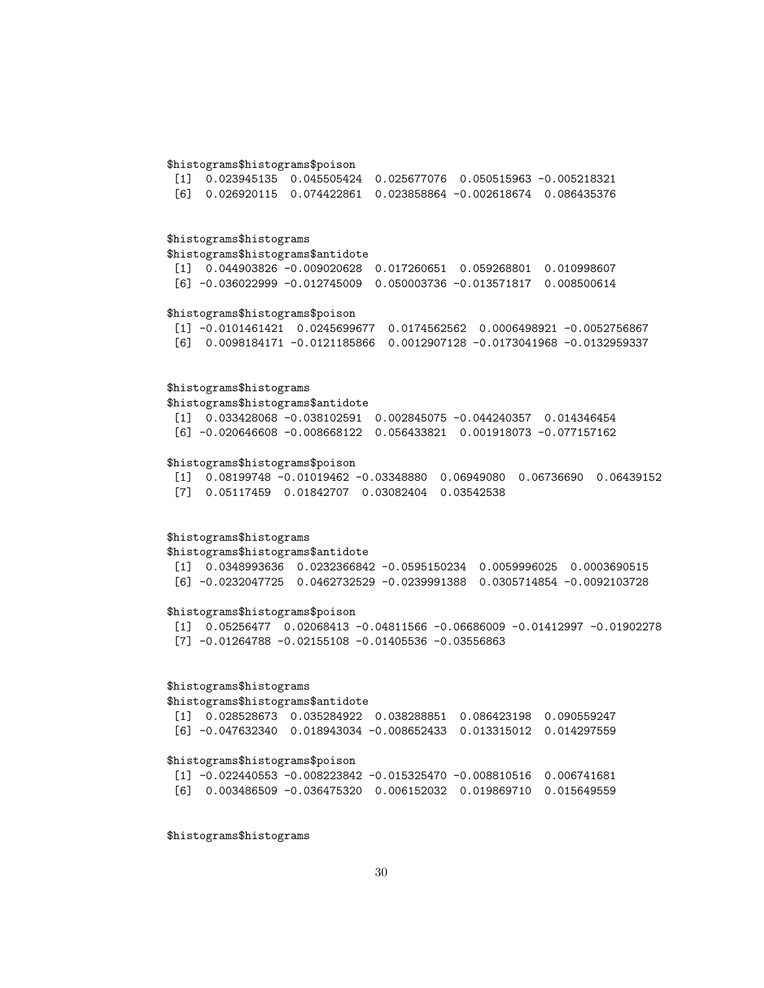### \$histograms\$histograms\$poison

|  | $\begin{bmatrix} 11 & 0.023945135 & 0.045505424 & 0.025677076 & 0.050515963 & -0.005218321 \end{bmatrix}$ |  |  |
|--|-----------------------------------------------------------------------------------------------------------|--|--|
|  | [6]  0.026920115  0.074422861  0.023858864   -0.002618674  0.086435376                                    |  |  |

### \$histograms\$histograms

### \$histograms\$histograms\$antidote

[1] 0.044903826 -0.009020628 0.017260651 0.059268801 0.010998607 [6] -0.036022999 -0.012745009 0.050003736 -0.013571817 0.008500614

#### \$histograms\$histograms\$poison

[1] -0.0101461421 0.0245699677 0.0174562562 0.0006498921 -0.0052756867 [6] 0.0098184171 -0.0121185866 0.0012907128 -0.0173041968 -0.0132959337

#### \$histograms\$histograms

\$histograms\$histograms\$antidote

[1] 0.033428068 -0.038102591 0.002845075 -0.044240357 0.014346454 [6] -0.020646608 -0.008668122 0.056433821 0.001918073 -0.077157162

### \$histograms\$histograms\$poison

[1] 0.08199748 -0.01019462 -0.03348880 0.06949080 0.06736690 0.06439152 [7] 0.05117459 0.01842707 0.03082404 0.03542538

# \$histograms\$histograms

\$histograms\$histograms\$antidote

[1] 0.0348993636 0.0232366842 -0.0595150234 0.0059996025 0.0003690515 [6] -0.0232047725 0.0462732529 -0.0239991388 0.0305714854 -0.0092103728

### \$histograms\$histograms\$poison

[1] 0.05256477 0.02068413 -0.04811566 -0.06686009 -0.01412997 -0.01902278 [7] -0.01264788 -0.02155108 -0.01405536 -0.03556863

### \$histograms\$histograms

### \$histograms\$histograms\$antidote

| [1] 0.028528673 0.035284922 0.038288851 0.086423198 0.090559247 |  |  |
|-----------------------------------------------------------------|--|--|
|                                                                 |  |  |

### \$histograms\$histograms\$poison

|  |  | $\lceil 1 \rceil$ -0.022440553 -0.008223842 -0.015325470 -0.008810516 0.006741681 |  |
|--|--|-----------------------------------------------------------------------------------|--|
|  |  | [6] 0.003486509 -0.036475320 0.006152032 0.019869710 0.015649559                  |  |

\$histograms\$histograms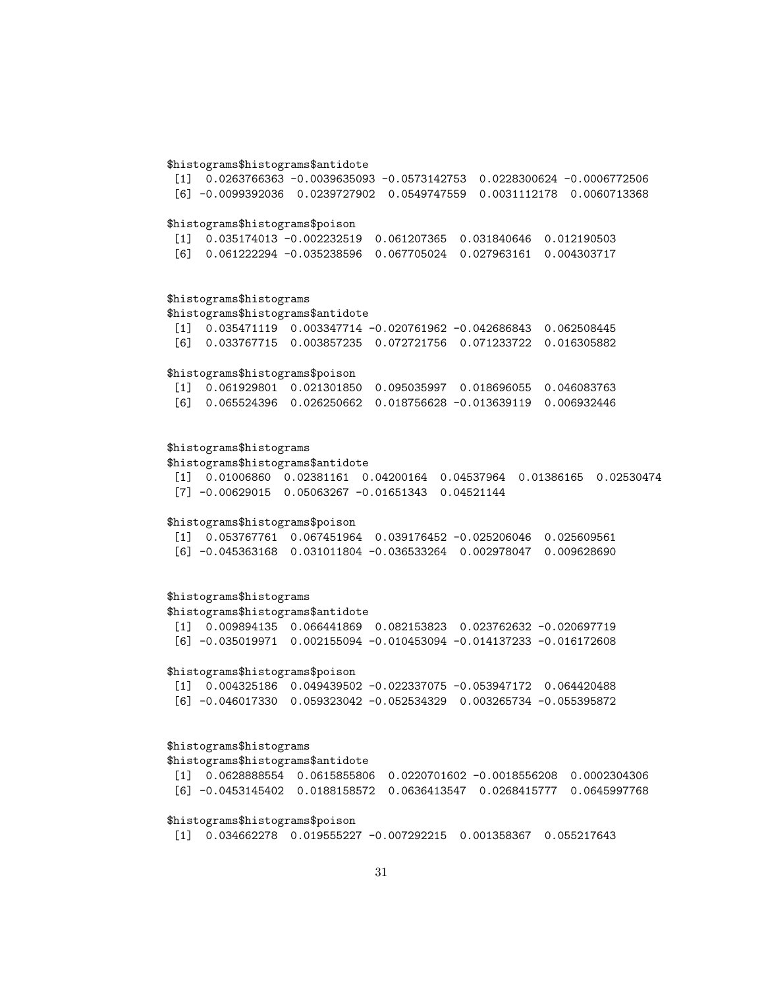### \$histograms\$histograms\$antidote

[1] 0.0263766363 -0.0039635093 -0.0573142753 0.0228300624 -0.0006772506 [6] -0.0099392036 0.0239727902 0.0549747559 0.0031112178 0.0060713368

### \$histograms\$histograms\$poison

|  | $\begin{bmatrix} 11 & 0.035174013 & -0.002232519 & 0.061207365 & 0.031840646 & 0.012190503 \end{bmatrix}$ |  |  |
|--|-----------------------------------------------------------------------------------------------------------|--|--|
|  | [6]  0.061222294  -0.035238596  0.067705024  0.027963161  0.004303717                                     |  |  |

### \$histograms\$histograms

\$histograms\$histograms\$antidote [1] 0.035471119 0.003347714 -0.020761962 -0.042686843 0.062508445 [6] 0.033767715 0.003857235 0.072721756 0.071233722 0.016305882

### \$histograms\$histograms\$poison

|  |  | [1] 0.061929801 0.021301850 0.095035997 0.018696055 0.046083763                                |  |
|--|--|------------------------------------------------------------------------------------------------|--|
|  |  | [6]        0.065524396        0.026250662        0.018756628   -0.013639119        0.006932446 |  |

### \$histograms\$histograms

### \$histograms\$histograms\$antidote

[1] 0.01006860 0.02381161 0.04200164 0.04537964 0.01386165 0.02530474 [7] -0.00629015 0.05063267 -0.01651343 0.04521144

### \$histograms\$histograms\$poison

| $\begin{bmatrix} 11 & 0.053767761 & 0.067451964 & 0.039176452 & -0.025206046 & 0.025609561 \end{bmatrix}$ |  |  |
|-----------------------------------------------------------------------------------------------------------|--|--|
| [6] -0.045363168         0.031011804         -0.036533264         0.002978047         0.009628690         |  |  |

# \$histograms\$histograms

\$histograms\$histograms\$antidote [1] 0.009894135 0.066441869 0.082153823 0.023762632 -0.020697719 [6] -0.035019971 0.002155094 -0.010453094 -0.014137233 -0.016172608

### \$histograms\$histograms\$poison

| $\begin{bmatrix} 11 & 0.004325186 & 0.049439502 & -0.022337075 & -0.053947172 & 0.064420488 \end{bmatrix}$ |  |  |
|------------------------------------------------------------------------------------------------------------|--|--|
|                                                                                                            |  |  |

### \$histograms\$histograms

\$histograms\$histograms\$antidote

```
[1] 0.0628888554 0.0615855806 0.0220701602 -0.0018556208 0.0002304306
[6] -0.0453145402 0.0188158572 0.0636413547 0.0268415777 0.0645997768
```
### \$histograms\$histograms\$poison

[1] 0.034662278 0.019555227 -0.007292215 0.001358367 0.055217643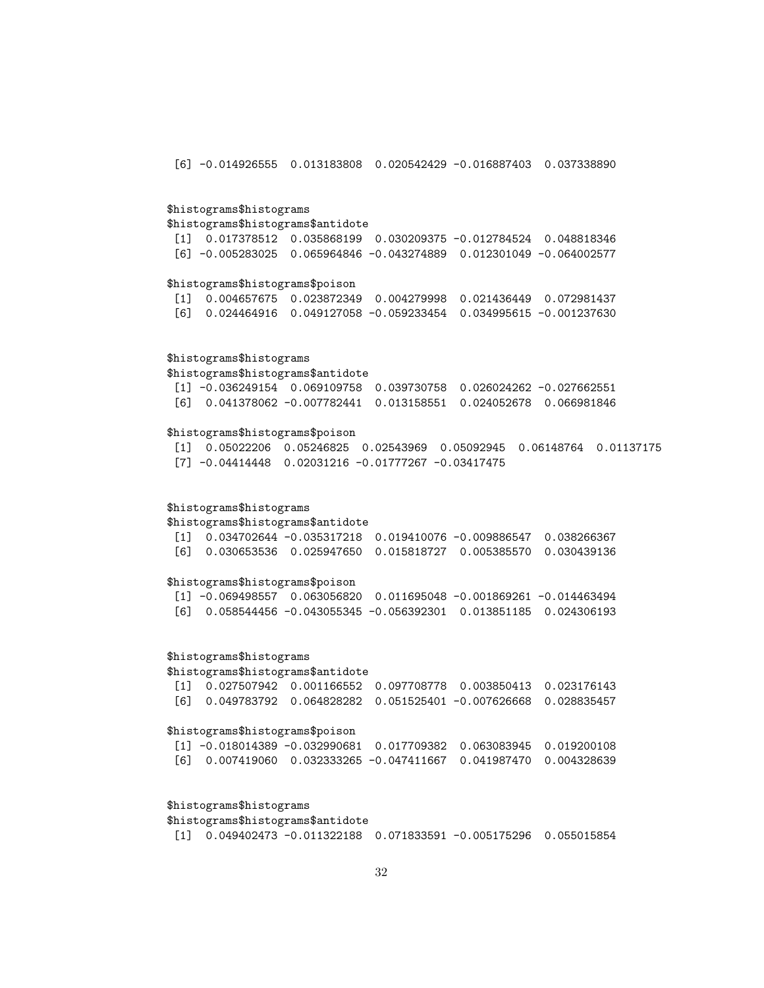[6] -0.014926555 0.013183808 0.020542429 -0.016887403 0.037338890

### \$histograms\$histograms

#### \$histograms\$histograms\$antidote

[1] 0.017378512 0.035868199 0.030209375 -0.012784524 0.048818346 [6] -0.005283025 0.065964846 -0.043274889 0.012301049 -0.064002577

### \$histograms\$histograms\$poison

[1] 0.004657675 0.023872349 0.004279998 0.021436449 0.072981437 [6] 0.024464916 0.049127058 -0.059233454 0.034995615 -0.001237630

### \$histograms\$histograms

### \$histograms\$histograms\$antidote

|  | $\lceil 1 \rceil$ -0.036249154 0.069109758 0.039730758 0.026024262 -0.027662551 |  |  |
|--|---------------------------------------------------------------------------------|--|--|
|  | [6]        0.041378062   -0.007782441   0.013158551   0.024052678   0.066981846 |  |  |

### \$histograms\$histograms\$poison

[1] 0.05022206 0.05246825 0.02543969 0.05092945 0.06148764 0.01137175 [7] -0.04414448 0.02031216 -0.01777267 -0.03417475

### \$histograms\$histograms

\$histograms\$histograms\$antidote

|  | $\lceil 1 \rceil$ 0.034702644 -0.035317218 0.019410076 -0.009886547 0.038266367 |  |  |
|--|---------------------------------------------------------------------------------|--|--|
|  | [6]  0.030653536  0.025947650  0.015818727  0.005385570  0.030439136            |  |  |

### \$histograms\$histograms\$poison

[1] -0.069498557 0.063056820 0.011695048 -0.001869261 -0.014463494 [6] 0.058544456 -0.043055345 -0.056392301 0.013851185 0.024306193

### \$histograms\$histograms

\$histograms\$histograms\$antidote

[1] 0.027507942 0.001166552 0.097708778 0.003850413 0.023176143 [6] 0.049783792 0.064828282 0.051525401 -0.007626668 0.028835457

#### \$histograms\$histograms\$poison

|  | $\lceil 1 \rceil$ -0.018014389 -0.032990681 0.017709382 0.063083945 0.019200108 |  |
|--|---------------------------------------------------------------------------------|--|
|  | [6]  0.007419060  0.032333265  -0.047411667  0.041987470  0.004328639           |  |

### \$histograms\$histograms

\$histograms\$histograms\$antidote

[1] 0.049402473 -0.011322188 0.071833591 -0.005175296 0.055015854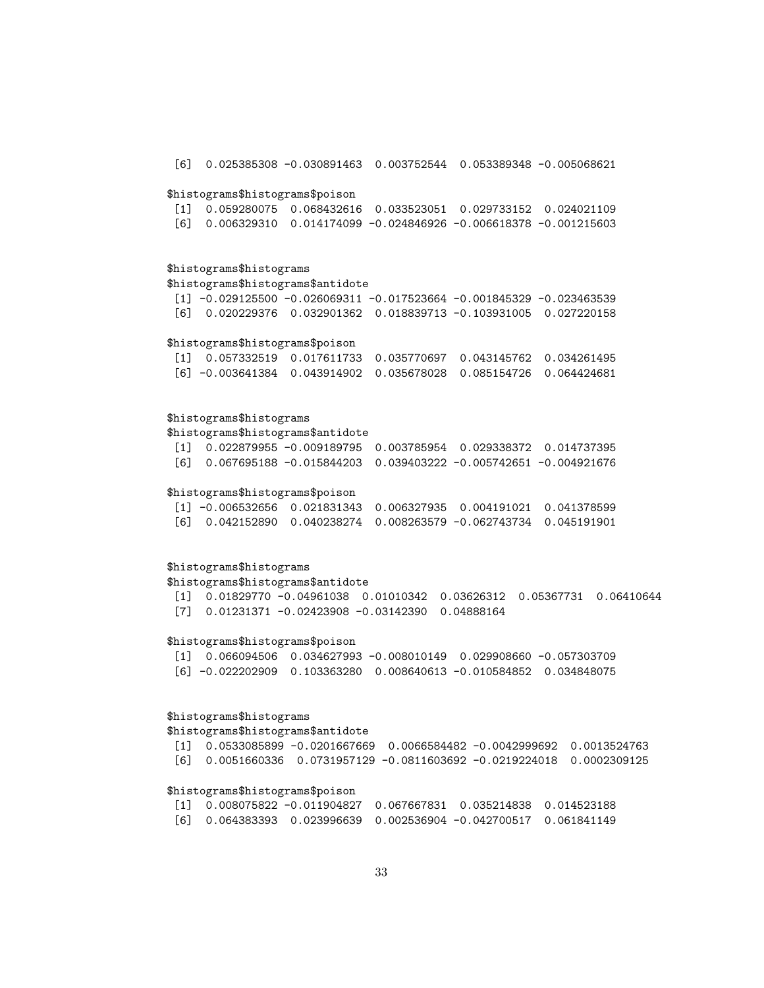\$histograms\$histograms\$poison [1] 0.059280075 0.068432616 0.033523051 0.029733152 0.024021109 [6] 0.006329310 0.014174099 -0.024846926 -0.006618378 -0.001215603 \$histograms\$histograms \$histograms\$histograms\$antidote  $[1]$  -0.029125500 -0.026069311 -0.017523664 -0.001845329 -0.023463539 [6] 0.020229376 0.032901362 0.018839713 -0.103931005 0.027220158 \$histograms\$histograms\$poison [1] 0.057332519 0.017611733 0.035770697 0.043145762 0.034261495 [6] -0.003641384 0.043914902 0.035678028 0.085154726 0.064424681 \$histograms\$histograms \$histograms\$histograms\$antidote [1] 0.022879955 -0.009189795 0.003785954 0.029338372 0.014737395 [6] 0.067695188 -0.015844203 0.039403222 -0.005742651 -0.004921676 \$histograms\$histograms\$poison [1] -0.006532656 0.021831343 0.006327935 0.004191021 0.041378599 [6] 0.042152890 0.040238274 0.008263579 -0.062743734 0.045191901 \$histograms\$histograms \$histograms\$histograms\$antidote [1] 0.01829770 -0.04961038 0.01010342 0.03626312 0.05367731 0.06410644 [7] 0.01231371 -0.02423908 -0.03142390 0.04888164 \$histograms\$histograms\$poison [1] 0.066094506 0.034627993 -0.008010149 0.029908660 -0.057303709 [6] -0.022202909 0.103363280 0.008640613 -0.010584852 0.034848075

[6] 0.025385308 -0.030891463 0.003752544 0.053389348 -0.005068621

# \$histograms\$histograms

\$histograms\$histograms\$antidote

[1] 0.0533085899 -0.0201667669 0.0066584482 -0.0042999692 0.0013524763 [6] 0.0051660336 0.0731957129 -0.0811603692 -0.0219224018 0.0002309125

### \$histograms\$histograms\$poison

|  | $\lceil 1 \rceil$ 0.008075822 -0.011904827 0.067667831 0.035214838 0.014523188 |  |  |
|--|--------------------------------------------------------------------------------|--|--|
|  | [6]  0.064383393  0.023996639  0.002536904  -0.042700517  0.061841149          |  |  |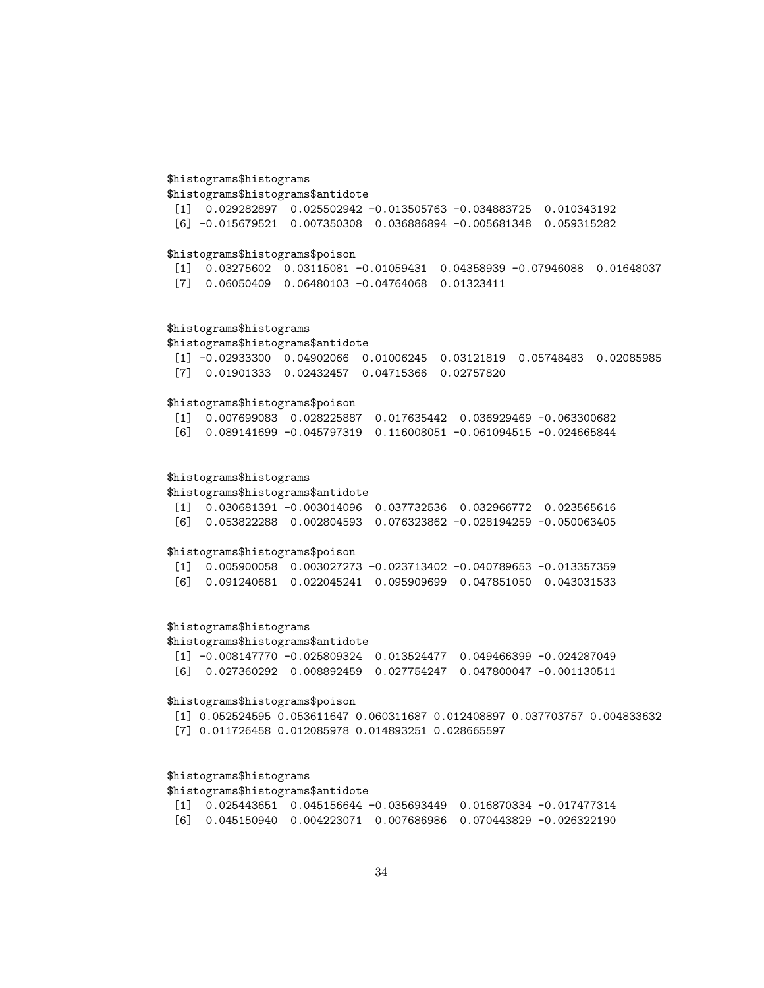# \$histograms\$histograms

\$histograms\$histograms\$antidote

[1] 0.029282897 0.025502942 -0.013505763 -0.034883725 0.010343192 [6] -0.015679521 0.007350308 0.036886894 -0.005681348 0.059315282

# \$histograms\$histograms\$poison

[1] 0.03275602 0.03115081 -0.01059431 0.04358939 -0.07946088 0.01648037 [7] 0.06050409 0.06480103 -0.04764068 0.01323411

# \$histograms\$histograms

\$histograms\$histograms\$antidote

[1] -0.02933300 0.04902066 0.01006245 0.03121819 0.05748483 0.02085985 [7] 0.01901333 0.02432457 0.04715366 0.02757820

# \$histograms\$histograms\$poison

[1] 0.007699083 0.028225887 0.017635442 0.036929469 -0.063300682 [6] 0.089141699 -0.045797319 0.116008051 -0.061094515 -0.024665844

# \$histograms\$histograms

\$histograms\$histograms\$antidote

|  | $\lceil 1 \rceil$ 0.030681391 -0.003014096 0.037732536 0.032966772 0.023565616 |  |  |
|--|--------------------------------------------------------------------------------|--|--|
|  |                                                                                |  |  |

### \$histograms\$histograms\$poison

|  |  | $\begin{bmatrix} 11 & 0.005900058 & 0.003027273 & -0.023713402 & -0.040789653 & -0.013357359 \end{bmatrix}$ |  |
|--|--|-------------------------------------------------------------------------------------------------------------|--|
|  |  | [6]  0.091240681  0.022045241  0.095909699  0.047851050  0.043031533                                        |  |

# \$histograms\$histograms

### \$histograms\$histograms\$antidote

|  |  | $\lceil 1 \rceil$ -0.008147770 -0.025809324 0.013524477 0.049466399 -0.024287049 |
|--|--|----------------------------------------------------------------------------------|
|  |  | [6]  0.027360292  0.008892459  0.027754247  0.047800047  -0.001130511            |

# \$histograms\$histograms\$poison

[1] 0.052524595 0.053611647 0.060311687 0.012408897 0.037703757 0.004833632 [7] 0.011726458 0.012085978 0.014893251 0.028665597

# \$histograms\$histograms

# \$histograms\$histograms\$antidote

|  |  | $\begin{bmatrix} 11 & 0.025443651 & 0.045156644 & -0.035693449 & 0.016870334 & -0.017477314 \end{bmatrix}$ |
|--|--|------------------------------------------------------------------------------------------------------------|
|  |  | [6] 0.045150940 0.004223071 0.007686986 0.070443829 -0.026322190                                           |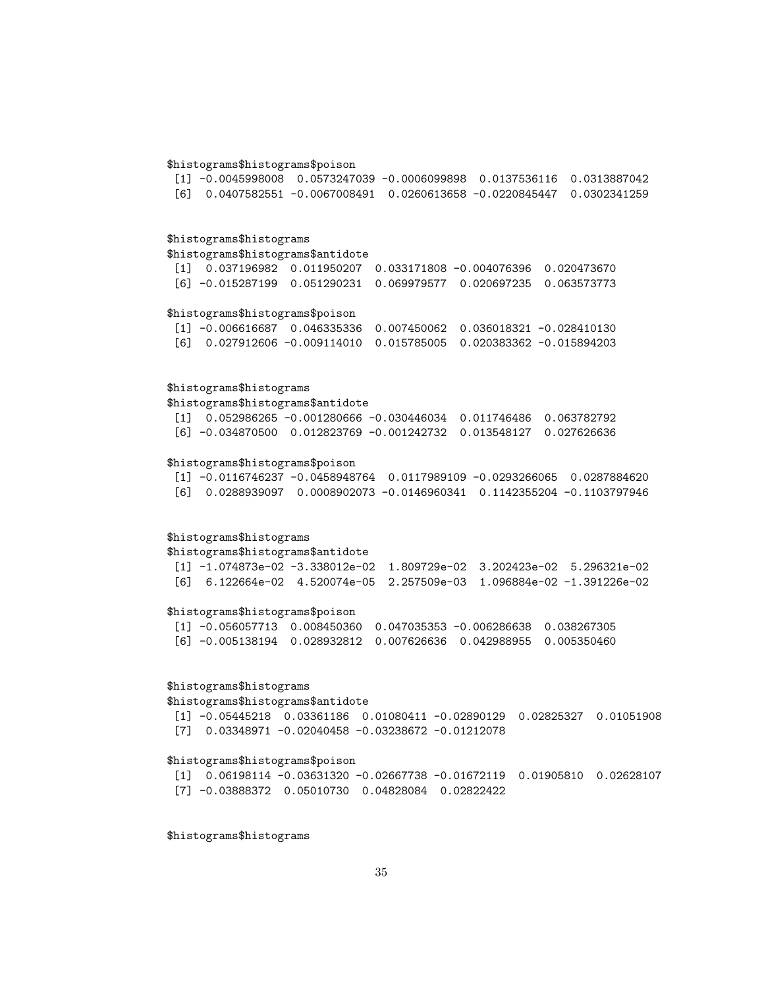### \$histograms\$histograms\$poison

[1] -0.0045998008 0.0573247039 -0.0006099898 0.0137536116 0.0313887042 [6] 0.0407582551 -0.0067008491 0.0260613658 -0.0220845447 0.0302341259

### \$histograms\$histograms

### \$histograms\$histograms\$antidote

[1] 0.037196982 0.011950207 0.033171808 -0.004076396 0.020473670 [6] -0.015287199 0.051290231 0.069979577 0.020697235 0.063573773

#### \$histograms\$histograms\$poison

[1] -0.006616687 0.046335336 0.007450062 0.036018321 -0.028410130 [6] 0.027912606 -0.009114010 0.015785005 0.020383362 -0.015894203

#### \$histograms\$histograms

\$histograms\$histograms\$antidote

[1] 0.052986265 -0.001280666 -0.030446034 0.011746486 0.063782792 [6] -0.034870500 0.012823769 -0.001242732 0.013548127 0.027626636

#### \$histograms\$histograms\$poison

[1] -0.0116746237 -0.0458948764 0.0117989109 -0.0293266065 0.0287884620 [6] 0.0288939097 0.0008902073 -0.0146960341 0.1142355204 -0.1103797946

# \$histograms\$histograms

\$histograms\$histograms\$antidote [1] -1.074873e-02 -3.338012e-02 1.809729e-02 3.202423e-02 5.296321e-02 [6] 6.122664e-02 4.520074e-05 2.257509e-03 1.096884e-02 -1.391226e-02

#### \$histograms\$histograms\$poison

[1] -0.056057713 0.008450360 0.047035353 -0.006286638 0.038267305 [6] -0.005138194 0.028932812 0.007626636 0.042988955 0.005350460

### \$histograms\$histograms

### \$histograms\$histograms\$antidote

[1] -0.05445218 0.03361186 0.01080411 -0.02890129 0.02825327 0.01051908 [7] 0.03348971 -0.02040458 -0.03238672 -0.01212078

### \$histograms\$histograms\$poison

[1] 0.06198114 -0.03631320 -0.02667738 -0.01672119 0.01905810 0.02628107 [7] -0.03888372 0.05010730 0.04828084 0.02822422

\$histograms\$histograms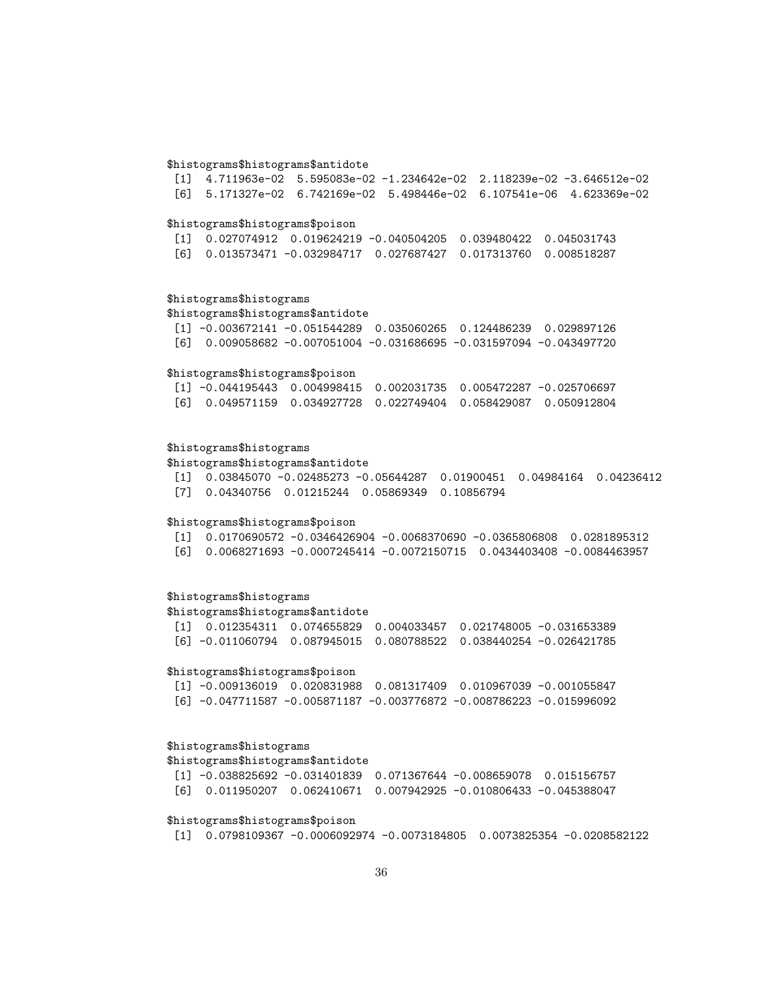### \$histograms\$histograms\$antidote

[1] 4.711963e-02 5.595083e-02 -1.234642e-02 2.118239e-02 -3.646512e-02 [6] 5.171327e-02 6.742169e-02 5.498446e-02 6.107541e-06 4.623369e-02

### \$histograms\$histograms\$poison

|  | $\begin{bmatrix} 11 & 0.027074912 & 0.019624219 & -0.040504205 & 0.039480422 & 0.045031743 \end{bmatrix}$ |  |
|--|-----------------------------------------------------------------------------------------------------------|--|
|  | [6]  0.013573471  -0.032984717  0.027687427  0.017313760  0.008518287                                     |  |

### \$histograms\$histograms

\$histograms\$histograms\$antidote

[1] -0.003672141 -0.051544289 0.035060265 0.124486239 0.029897126 [6] 0.009058682 -0.007051004 -0.031686695 -0.031597094 -0.043497720

### \$histograms\$histograms\$poison

| [1] -0.044195443  0.004998415  0.002031735  0.005472287 -0.025706697                               |  |  |
|----------------------------------------------------------------------------------------------------|--|--|
| [6]        0.049571159        0.034927728        0.022749404        0.058429087        0.050912804 |  |  |

### \$histograms\$histograms

\$histograms\$histograms\$antidote

[1] 0.03845070 -0.02485273 -0.05644287 0.01900451 0.04984164 0.04236412 [7] 0.04340756 0.01215244 0.05869349 0.10856794

### \$histograms\$histograms\$poison

[1] 0.0170690572 -0.0346426904 -0.0068370690 -0.0365806808 0.0281895312 [6] 0.0068271693 -0.0007245414 -0.0072150715 0.0434403408 -0.0084463957

# \$histograms\$histograms

\$histograms\$histograms\$antidote

| [1] 0.012354311 0.074655829 0.004033457 0.021748005 -0.031653389 |  |  |
|------------------------------------------------------------------|--|--|
|                                                                  |  |  |

### \$histograms\$histograms\$poison

| $\lceil 1 \rceil$ -0.009136019 0.020831988 0.081317409 0.010967039 -0.001055847 |  |  |
|---------------------------------------------------------------------------------|--|--|
| [6] -0.047711587 -0.005871187 -0.003776872 -0.008786223 -0.015996092            |  |  |

### \$histograms\$histograms

\$histograms\$histograms\$antidote

|  | $\lceil 1 \rceil$ -0.038825692 -0.031401839 0.071367644 -0.008659078 0.015156757 |  |  |
|--|----------------------------------------------------------------------------------|--|--|
|  | [6]  0.011950207  0.062410671  0.007942925  −0.010806433  −0.045388047           |  |  |

### \$histograms\$histograms\$poison

[1] 0.0798109367 -0.0006092974 -0.0073184805 0.0073825354 -0.0208582122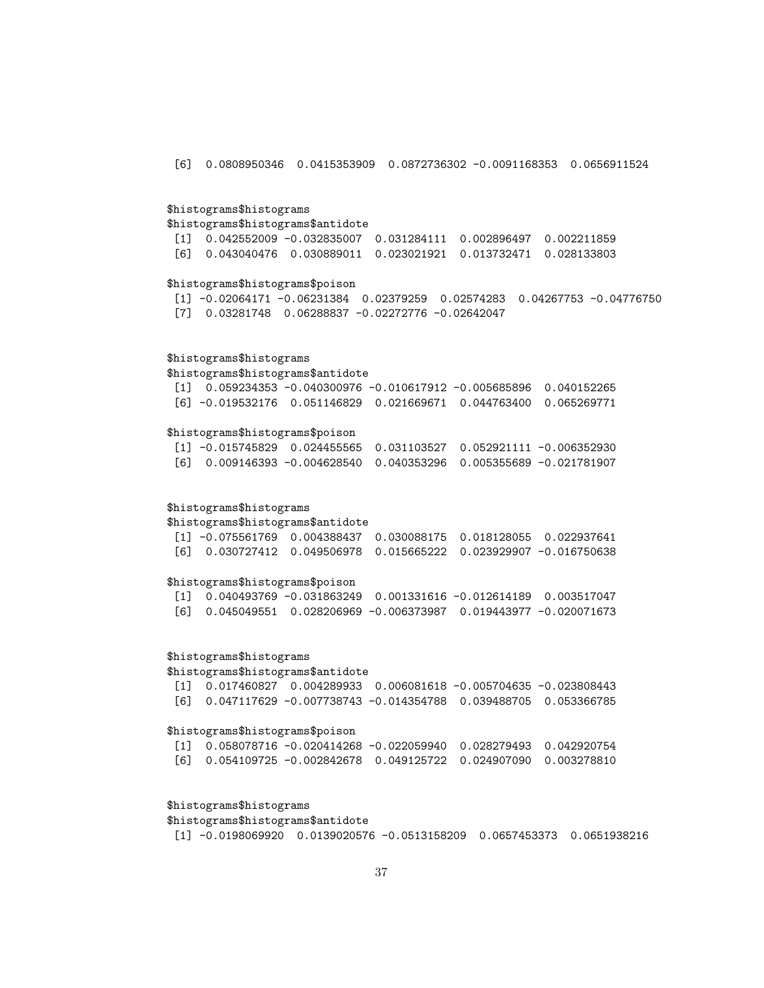[6] 0.0808950346 0.0415353909 0.0872736302 -0.0091168353 0.0656911524

### \$histograms\$histograms

\$histograms\$histograms\$antidote [1] 0.042552009 -0.032835007 0.031284111 0.002896497 0.002211859

# [6] 0.043040476 0.030889011 0.023021921 0.013732471 0.028133803

# \$histograms\$histograms\$poison

[1] -0.02064171 -0.06231384 0.02379259 0.02574283 0.04267753 -0.04776750 [7] 0.03281748 0.06288837 -0.02272776 -0.02642047

### \$histograms\$histograms

\$histograms\$histograms\$antidote [1] 0.059234353 -0.040300976 -0.010617912 -0.005685896 0.040152265

[6] -0.019532176 0.051146829 0.021669671 0.044763400 0.065269771

#### \$histograms\$histograms\$poison

[1] -0.015745829 0.024455565 0.031103527 0.052921111 -0.006352930 [6] 0.009146393 -0.004628540 0.040353296 0.005355689 -0.021781907

### \$histograms\$histograms

\$histograms\$histograms\$antidote

| $\lceil 1 \rceil$ -0.075561769 0.004388437 0.030088175 0.018128055 0.022937641 |  |  |
|--------------------------------------------------------------------------------|--|--|
| 「6] 0.030727412 0.049506978 0.015665222 0.023929907 −0.016750638               |  |  |

### \$histograms\$histograms\$poison

[1] 0.040493769 -0.031863249 0.001331616 -0.012614189 0.003517047 [6] 0.045049551 0.028206969 -0.006373987 0.019443977 -0.020071673

### \$histograms\$histograms

\$histograms\$histograms\$antidote

[1] 0.017460827 0.004289933 0.006081618 -0.005704635 -0.023808443 [6] 0.047117629 -0.007738743 -0.014354788 0.039488705 0.053366785

#### \$histograms\$histograms\$poison

[1] 0.058078716 -0.020414268 -0.022059940 0.028279493 0.042920754 [6] 0.054109725 -0.002842678 0.049125722 0.024907090 0.003278810

### \$histograms\$histograms

# \$histograms\$histograms\$antidote

[1] -0.0198069920 0.0139020576 -0.0513158209 0.0657453373 0.0651938216